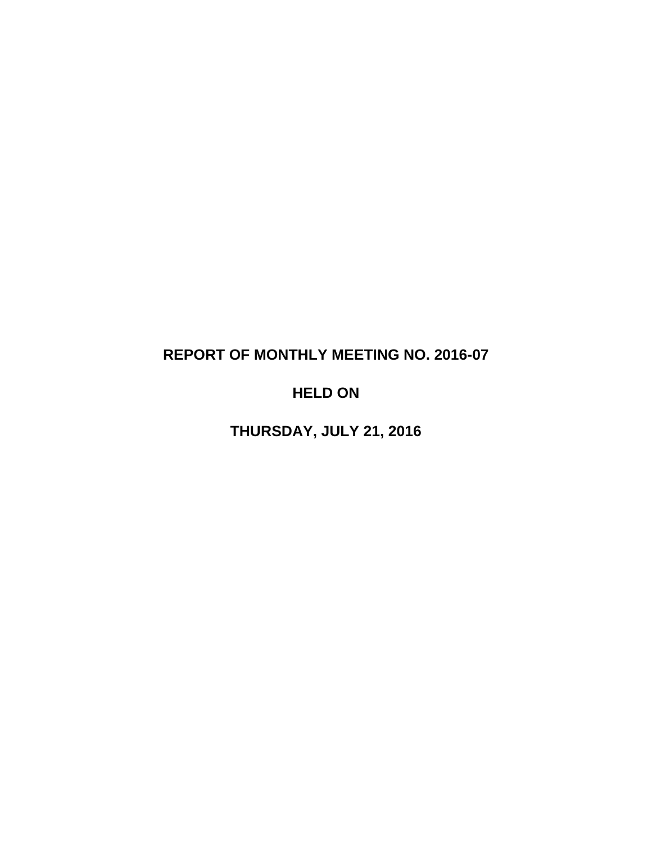# **REPORT OF MONTHLY MEETING NO. 2016-07**

# **HELD ON**

**THURSDAY, JULY 21, 2016**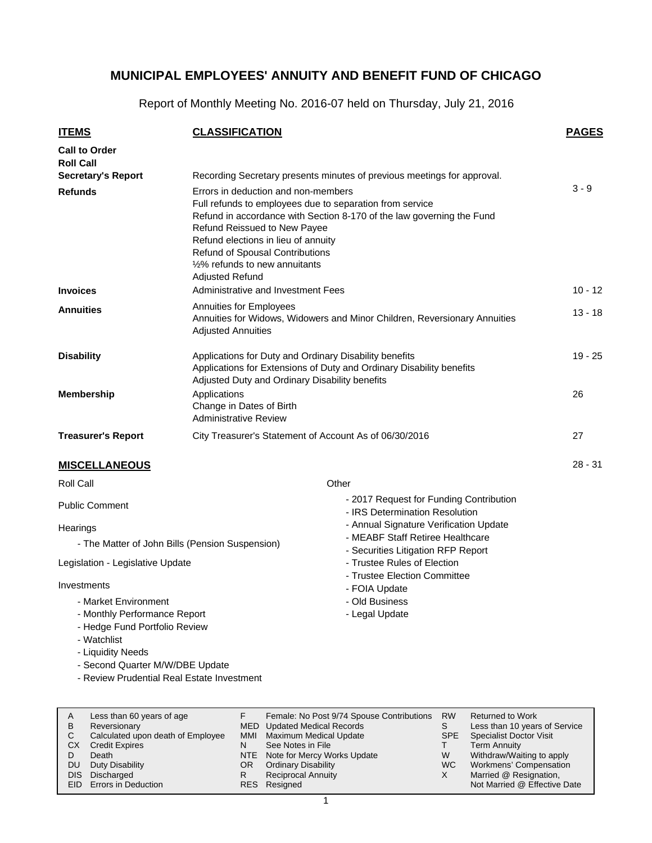Report of Monthly Meeting No. 2016-07 held on Thursday, July 21, 2016

| <b>ITEMS</b>                                                                                                              |                                                                                                                                                                                                                                                                                                                                                       | <b>PAGES</b>                                                              |           |
|---------------------------------------------------------------------------------------------------------------------------|-------------------------------------------------------------------------------------------------------------------------------------------------------------------------------------------------------------------------------------------------------------------------------------------------------------------------------------------------------|---------------------------------------------------------------------------|-----------|
| <b>Call to Order</b><br><b>Roll Call</b>                                                                                  |                                                                                                                                                                                                                                                                                                                                                       |                                                                           |           |
| <b>Secretary's Report</b>                                                                                                 |                                                                                                                                                                                                                                                                                                                                                       | Recording Secretary presents minutes of previous meetings for approval.   |           |
| <b>Refunds</b>                                                                                                            | Errors in deduction and non-members<br>Full refunds to employees due to separation from service<br>Refund in accordance with Section 8-170 of the law governing the Fund<br>Refund Reissued to New Payee<br>Refund elections in lieu of annuity<br><b>Refund of Spousal Contributions</b><br>1/2% refunds to new annuitants<br><b>Adiusted Refund</b> | $3 - 9$                                                                   |           |
| <b>Invoices</b>                                                                                                           | Administrative and Investment Fees                                                                                                                                                                                                                                                                                                                    |                                                                           | $10 - 12$ |
| <b>Annuities</b>                                                                                                          | <b>Annuities for Employees</b><br>Annuities for Widows, Widowers and Minor Children, Reversionary Annuities<br><b>Adjusted Annuities</b>                                                                                                                                                                                                              | $13 - 18$                                                                 |           |
| <b>Disability</b>                                                                                                         | Applications for Duty and Ordinary Disability benefits<br>Applications for Extensions of Duty and Ordinary Disability benefits<br>Adjusted Duty and Ordinary Disability benefits                                                                                                                                                                      | 19 - 25                                                                   |           |
| <b>Membership</b>                                                                                                         | Applications<br>Change in Dates of Birth<br><b>Administrative Review</b>                                                                                                                                                                                                                                                                              | 26                                                                        |           |
| <b>Treasurer's Report</b>                                                                                                 | City Treasurer's Statement of Account As of 06/30/2016                                                                                                                                                                                                                                                                                                |                                                                           | 27        |
| <b>MISCELLANEOUS</b>                                                                                                      |                                                                                                                                                                                                                                                                                                                                                       |                                                                           | $28 - 31$ |
| Roll Call                                                                                                                 |                                                                                                                                                                                                                                                                                                                                                       | Other                                                                     |           |
| <b>Public Comment</b>                                                                                                     |                                                                                                                                                                                                                                                                                                                                                       | - 2017 Request for Funding Contribution<br>- IRS Determination Resolution |           |
| Hearings                                                                                                                  |                                                                                                                                                                                                                                                                                                                                                       | - Annual Signature Verification Update                                    |           |
| - The Matter of John Bills (Pension Suspension)                                                                           |                                                                                                                                                                                                                                                                                                                                                       | - MEABF Staff Retiree Healthcare<br>- Securities Litigation RFP Report    |           |
| Legislation - Legislative Update                                                                                          |                                                                                                                                                                                                                                                                                                                                                       | - Trustee Rules of Election<br>- Trustee Election Committee               |           |
| Investments                                                                                                               |                                                                                                                                                                                                                                                                                                                                                       | - FOIA Update                                                             |           |
| - Market Environment<br>- Monthly Performance Report<br>- Hedge Fund Portfolio Review<br>- Watchlist<br>- Liquidity Needs |                                                                                                                                                                                                                                                                                                                                                       | - Old Business<br>- Legal Update                                          |           |
| - Second Quarter M/W/DBE Update<br>- Review Prudential Real Estate Investment                                             |                                                                                                                                                                                                                                                                                                                                                       |                                                                           |           |

| A    | Less than 60 years of age         |     | Female: No Post 9/74 Spouse Contributions RW |            | <b>Returned to Work</b>        |
|------|-----------------------------------|-----|----------------------------------------------|------------|--------------------------------|
| B    | Reversionary                      |     | MED Updated Medical Records                  |            | Less than 10 years of Service  |
| C.   | Calculated upon death of Employee | MMI | Maximum Medical Update                       | <b>SPE</b> | <b>Specialist Doctor Visit</b> |
| CХ   | <b>Credit Expires</b>             | N   | See Notes in File                            |            | Term Annuity                   |
|      | Death                             |     | NTE Note for Mercy Works Update              | W          | Withdraw/Waiting to apply      |
| DU   | Duty Disability                   | OR. | <b>Ordinary Disability</b>                   | WC.        | Workmens' Compensation         |
| DIS. | Discharged                        |     | <b>Reciprocal Annuity</b>                    | X          | Married @ Resignation,         |
|      | EID Errors in Deduction           |     | RES Resigned                                 |            | Not Married @ Effective Date   |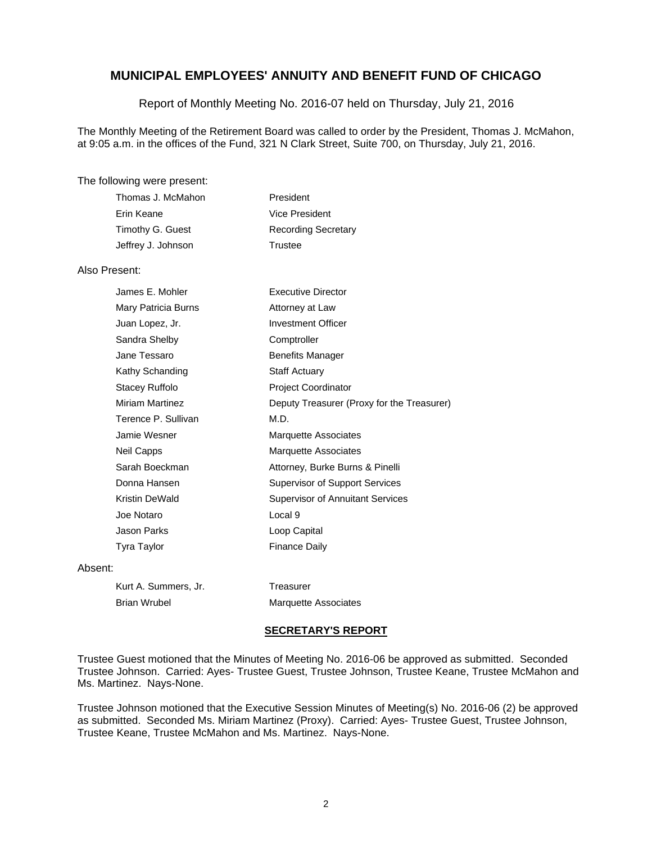#### Report of Monthly Meeting No. 2016-07 held on Thursday, July 21, 2016

The Monthly Meeting of the Retirement Board was called to order by the President, Thomas J. McMahon, at 9:05 a.m. in the offices of the Fund, 321 N Clark Street, Suite 700, on Thursday, July 21, 2016.

#### The following were present:

| Thomas J. McMahon  | President                  |
|--------------------|----------------------------|
| Erin Keane         | Vice President             |
| Timothy G. Guest   | <b>Recording Secretary</b> |
| Jeffrey J. Johnson | Trustee                    |
|                    |                            |

#### Also Present:

| James E. Mohler        | Executive Director                         |
|------------------------|--------------------------------------------|
| Mary Patricia Burns    | Attorney at Law                            |
| Juan Lopez, Jr.        | <b>Investment Officer</b>                  |
| Sandra Shelby          | Comptroller                                |
| Jane Tessaro           | <b>Benefits Manager</b>                    |
| Kathy Schanding        | <b>Staff Actuary</b>                       |
| Stacey Ruffolo         | <b>Project Coordinator</b>                 |
| <b>Miriam Martinez</b> | Deputy Treasurer (Proxy for the Treasurer) |
| Terence P. Sullivan    | M.D.                                       |
| Jamie Wesner           | Marquette Associates                       |
| Neil Capps             | Marquette Associates                       |
| Sarah Boeckman         | Attorney, Burke Burns & Pinelli            |
| Donna Hansen           | <b>Supervisor of Support Services</b>      |
| Kristin DeWald         | <b>Supervisor of Annuitant Services</b>    |
| Joe Notaro             | Local 9                                    |
| Jason Parks            | Loop Capital                               |
| Tyra Taylor            | <b>Finance Daily</b>                       |
|                        |                                            |

#### Absent:

| Kurt A. Summers, Jr. | Treasurer                   |
|----------------------|-----------------------------|
| Brian Wrubel         | <b>Marquette Associates</b> |

#### **SECRETARY'S REPORT**

Trustee Guest motioned that the Minutes of Meeting No. 2016-06 be approved as submitted. Seconded Trustee Johnson. Carried: Ayes- Trustee Guest, Trustee Johnson, Trustee Keane, Trustee McMahon and Ms. Martinez. Nays-None.

Trustee Johnson motioned that the Executive Session Minutes of Meeting(s) No. 2016-06 (2) be approved as submitted. Seconded Ms. Miriam Martinez (Proxy). Carried: Ayes- Trustee Guest, Trustee Johnson, Trustee Keane, Trustee McMahon and Ms. Martinez. Nays-None.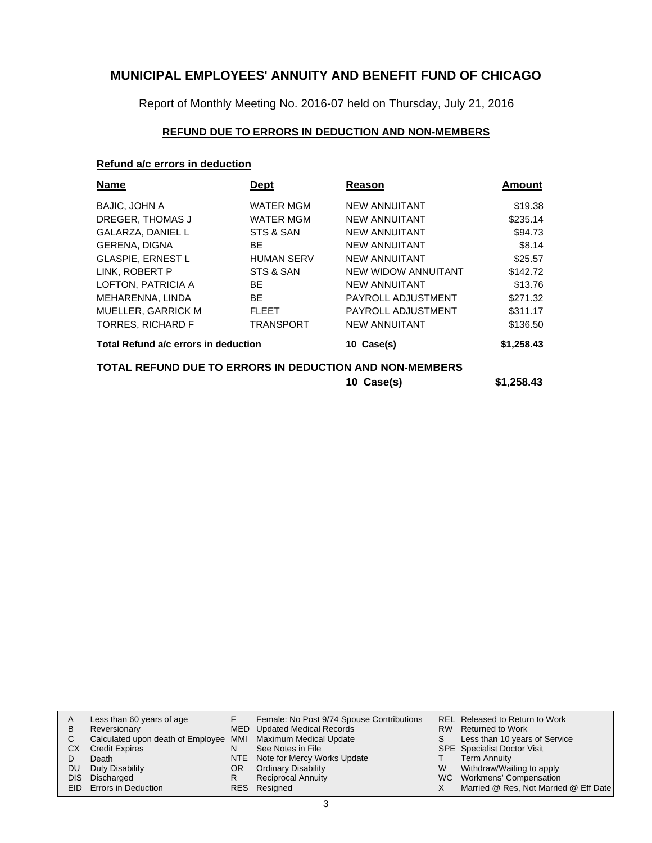Report of Monthly Meeting No. 2016-07 held on Thursday, July 21, 2016

### **REFUND DUE TO ERRORS IN DEDUCTION AND NON-MEMBERS**

#### **Refund a/c errors in deduction**

| <b>Name</b>                          | Dept              | Reason                                                  | Amount     |
|--------------------------------------|-------------------|---------------------------------------------------------|------------|
| <b>BAJIC, JOHN A</b>                 | <b>WATER MGM</b>  | NEW ANNUITANT                                           | \$19.38    |
| DREGER, THOMAS J                     | <b>WATER MGM</b>  | <b>NEW ANNUITANT</b>                                    | \$235.14   |
| GALARZA, DANIEL L                    | STS & SAN         | <b>NEW ANNUITANT</b>                                    | \$94.73    |
| <b>GERENA, DIGNA</b>                 | BE                | <b>NEW ANNUITANT</b>                                    | \$8.14     |
| <b>GLASPIE, ERNEST L</b>             | <b>HUMAN SERV</b> | <b>NEW ANNUITANT</b>                                    | \$25.57    |
| LINK, ROBERT P                       | STS & SAN         | NEW WIDOW ANNUITANT                                     | \$142.72   |
| LOFTON, PATRICIA A                   | <b>BE</b>         | <b>NEW ANNUITANT</b>                                    | \$13.76    |
| MEHARENNA, LINDA                     | BE.               | PAYROLL ADJUSTMENT                                      | \$271.32   |
| MUELLER, GARRICK M                   | <b>FLEET</b>      | PAYROLL ADJUSTMENT                                      | \$311.17   |
| <b>TORRES, RICHARD F</b>             | <b>TRANSPORT</b>  | <b>NEW ANNUITANT</b>                                    | \$136.50   |
| Total Refund a/c errors in deduction |                   | 10 Case(s)                                              | \$1,258.43 |
|                                      |                   | TOTAL REFUND DUE TO ERRORS IN DEDUCTION AND NON-MEMBERS |            |
|                                      |                   | 10 Case(s)                                              | \$1,258.43 |

| A   | Less than 60 years of age                                    |     | Female: No Post 9/74 Spouse Contributions |   | REL Released to Return to Work        |
|-----|--------------------------------------------------------------|-----|-------------------------------------------|---|---------------------------------------|
| B   | Reversionary                                                 |     | MED Updated Medical Records               |   | RW Returned to Work                   |
|     | Calculated upon death of Employee MMI Maximum Medical Update |     |                                           |   | Less than 10 years of Service         |
| CХ  | <b>Credit Expires</b>                                        | N   | See Notes in File                         |   | <b>SPE</b> Specialist Doctor Visit    |
|     | Death                                                        |     | NTE Note for Mercy Works Update           |   | <b>Term Annuity</b>                   |
| DU. | Duty Disability                                              | OR. | <b>Ordinary Disability</b>                | W | Withdraw/Waiting to apply             |
|     | DIS Discharged                                               | R   | <b>Reciprocal Annuity</b>                 |   | WC Workmens' Compensation             |
|     | <b>EID</b> Errors in Deduction                               |     | RES Resigned                              |   | Married @ Res, Not Married @ Eff Date |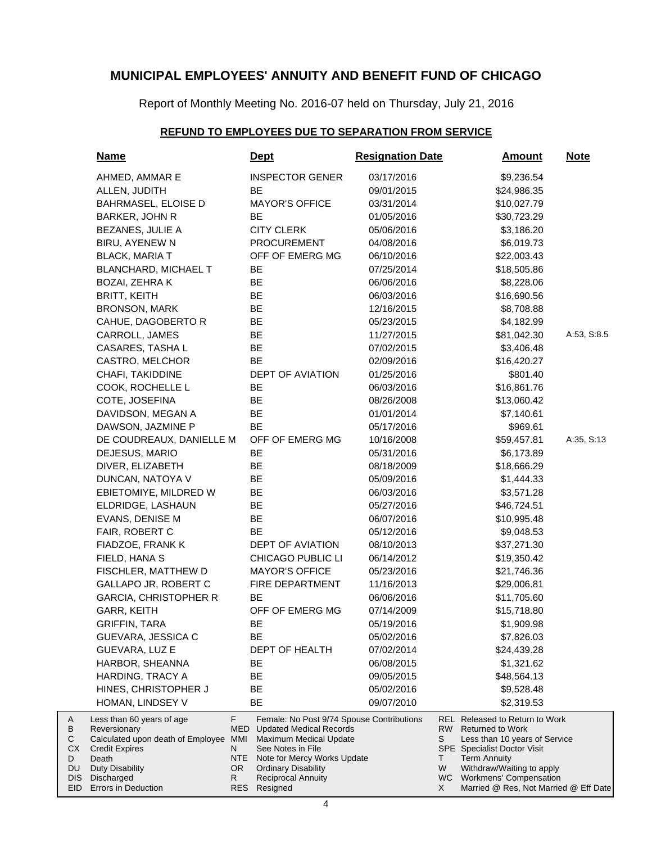Report of Monthly Meeting No. 2016-07 held on Thursday, July 21, 2016

### **REFUND TO EMPLOYEES DUE TO SEPARATION FROM SERVICE**

| <u>Name</u>                                                                                                                      |                                     | <u>Dept</u>                                                                                                                                                                             | <b>Resignation Date</b> |                      | <b>Amount</b>                                                                                                                                                                        | <b>Note</b> |
|----------------------------------------------------------------------------------------------------------------------------------|-------------------------------------|-----------------------------------------------------------------------------------------------------------------------------------------------------------------------------------------|-------------------------|----------------------|--------------------------------------------------------------------------------------------------------------------------------------------------------------------------------------|-------------|
| AHMED, AMMAR E                                                                                                                   |                                     | <b>INSPECTOR GENER</b>                                                                                                                                                                  | 03/17/2016              |                      | \$9,236.54                                                                                                                                                                           |             |
| ALLEN, JUDITH                                                                                                                    |                                     | BE                                                                                                                                                                                      | 09/01/2015              |                      | \$24,986.35                                                                                                                                                                          |             |
| <b>BAHRMASEL, ELOISE D</b>                                                                                                       |                                     | <b>MAYOR'S OFFICE</b>                                                                                                                                                                   | 03/31/2014              |                      | \$10,027.79                                                                                                                                                                          |             |
| BARKER, JOHN R                                                                                                                   |                                     | <b>BE</b>                                                                                                                                                                               | 01/05/2016              |                      | \$30,723.29                                                                                                                                                                          |             |
| BEZANES, JULIE A                                                                                                                 |                                     | <b>CITY CLERK</b>                                                                                                                                                                       | 05/06/2016              |                      | \$3,186.20                                                                                                                                                                           |             |
| BIRU, AYENEW N                                                                                                                   |                                     | <b>PROCUREMENT</b>                                                                                                                                                                      | 04/08/2016              |                      | \$6,019.73                                                                                                                                                                           |             |
| <b>BLACK, MARIA T</b>                                                                                                            |                                     | OFF OF EMERG MG                                                                                                                                                                         | 06/10/2016              |                      | \$22,003.43                                                                                                                                                                          |             |
| <b>BLANCHARD, MICHAEL T</b>                                                                                                      |                                     | BE                                                                                                                                                                                      | 07/25/2014              |                      | \$18,505.86                                                                                                                                                                          |             |
| BOZAI, ZEHRA K                                                                                                                   |                                     | BE                                                                                                                                                                                      | 06/06/2016              |                      | \$8,228.06                                                                                                                                                                           |             |
| <b>BRITT, KEITH</b>                                                                                                              |                                     | BE                                                                                                                                                                                      | 06/03/2016              |                      | \$16,690.56                                                                                                                                                                          |             |
| <b>BRONSON, MARK</b>                                                                                                             |                                     | BE                                                                                                                                                                                      | 12/16/2015              |                      | \$8,708.88                                                                                                                                                                           |             |
| CAHUE, DAGOBERTO R                                                                                                               |                                     | BE                                                                                                                                                                                      | 05/23/2015              |                      | \$4,182.99                                                                                                                                                                           |             |
| CARROLL, JAMES                                                                                                                   |                                     | BE                                                                                                                                                                                      | 11/27/2015              |                      | \$81,042.30                                                                                                                                                                          | A:53, S:8.5 |
| CASARES, TASHA L                                                                                                                 |                                     | BE                                                                                                                                                                                      | 07/02/2015              |                      | \$3,406.48                                                                                                                                                                           |             |
| CASTRO, MELCHOR                                                                                                                  |                                     | BE                                                                                                                                                                                      | 02/09/2016              |                      | \$16,420.27                                                                                                                                                                          |             |
| CHAFI, TAKIDDINE                                                                                                                 |                                     | DEPT OF AVIATION                                                                                                                                                                        | 01/25/2016              |                      | \$801.40                                                                                                                                                                             |             |
| COOK, ROCHELLE L                                                                                                                 |                                     | BE                                                                                                                                                                                      | 06/03/2016              |                      | \$16,861.76                                                                                                                                                                          |             |
| COTE, JOSEFINA                                                                                                                   |                                     | BE                                                                                                                                                                                      | 08/26/2008              |                      | \$13,060.42                                                                                                                                                                          |             |
| DAVIDSON, MEGAN A                                                                                                                |                                     | BE                                                                                                                                                                                      | 01/01/2014              |                      | \$7,140.61                                                                                                                                                                           |             |
| DAWSON, JAZMINE P                                                                                                                |                                     | BE                                                                                                                                                                                      | 05/17/2016              |                      | \$969.61                                                                                                                                                                             |             |
| DE COUDREAUX, DANIELLE M                                                                                                         |                                     | OFF OF EMERG MG                                                                                                                                                                         | 10/16/2008              |                      | \$59,457.81                                                                                                                                                                          | A:35, S:13  |
| DEJESUS, MARIO                                                                                                                   |                                     | <b>BE</b>                                                                                                                                                                               | 05/31/2016              |                      | \$6,173.89                                                                                                                                                                           |             |
| DIVER, ELIZABETH                                                                                                                 |                                     | ВE                                                                                                                                                                                      | 08/18/2009              |                      | \$18,666.29                                                                                                                                                                          |             |
| DUNCAN, NATOYA V                                                                                                                 |                                     | ВE                                                                                                                                                                                      | 05/09/2016              |                      | \$1,444.33                                                                                                                                                                           |             |
| EBIETOMIYE, MILDRED W                                                                                                            |                                     | BE                                                                                                                                                                                      | 06/03/2016              |                      | \$3,571.28                                                                                                                                                                           |             |
| ELDRIDGE, LASHAUN                                                                                                                |                                     | BE                                                                                                                                                                                      | 05/27/2016              |                      | \$46,724.51                                                                                                                                                                          |             |
| EVANS, DENISE M                                                                                                                  |                                     | BE                                                                                                                                                                                      | 06/07/2016              |                      | \$10,995.48                                                                                                                                                                          |             |
| FAIR, ROBERT C                                                                                                                   |                                     | BE                                                                                                                                                                                      | 05/12/2016              |                      | \$9,048.53                                                                                                                                                                           |             |
| FIADZOE, FRANK K                                                                                                                 |                                     | DEPT OF AVIATION                                                                                                                                                                        | 08/10/2013              |                      | \$37,271.30                                                                                                                                                                          |             |
| FIELD, HANA S                                                                                                                    |                                     | CHICAGO PUBLIC LI                                                                                                                                                                       | 06/14/2012              |                      | \$19,350.42                                                                                                                                                                          |             |
| FISCHLER, MATTHEW D                                                                                                              |                                     | <b>MAYOR'S OFFICE</b>                                                                                                                                                                   | 05/23/2016              |                      | \$21,746.36                                                                                                                                                                          |             |
| GALLAPO JR, ROBERT C                                                                                                             |                                     | FIRE DEPARTMENT                                                                                                                                                                         | 11/16/2013              |                      | \$29,006.81                                                                                                                                                                          |             |
| <b>GARCIA, CHRISTOPHER R</b>                                                                                                     |                                     | BE                                                                                                                                                                                      | 06/06/2016              |                      | \$11,705.60                                                                                                                                                                          |             |
| GARR, KEITH                                                                                                                      |                                     | OFF OF EMERG MG                                                                                                                                                                         | 07/14/2009              |                      | \$15,718.80                                                                                                                                                                          |             |
| <b>GRIFFIN, TARA</b>                                                                                                             |                                     | ВE                                                                                                                                                                                      | 05/19/2016              |                      | \$1,909.98                                                                                                                                                                           |             |
| GUEVARA, JESSICA C                                                                                                               |                                     | BЕ                                                                                                                                                                                      | 05/02/2016              |                      | \$7,826.03                                                                                                                                                                           |             |
| GUEVARA, LUZ E                                                                                                                   |                                     | DEPT OF HEALTH                                                                                                                                                                          | 07/02/2014              |                      | \$24,439.28                                                                                                                                                                          |             |
| HARBOR, SHEANNA                                                                                                                  |                                     | BЕ                                                                                                                                                                                      | 06/08/2015              |                      | \$1,321.62                                                                                                                                                                           |             |
| HARDING, TRACY A                                                                                                                 |                                     | BЕ                                                                                                                                                                                      | 09/05/2015              |                      | \$48,564.13                                                                                                                                                                          |             |
| HINES, CHRISTOPHER J                                                                                                             |                                     | BE                                                                                                                                                                                      | 05/02/2016              |                      | \$9,528.48                                                                                                                                                                           |             |
| HOMAN, LINDSEY V                                                                                                                 |                                     | BЕ                                                                                                                                                                                      | 09/07/2010              |                      | \$2,319.53                                                                                                                                                                           |             |
| Less than 60 years of age<br>Reversionary<br>Calculated upon death of Employee MMI<br>Credit Expires<br>Death<br>Duty Disability | F.<br>MED<br>N<br><b>NTE</b><br>OR. | Female: No Post 9/74 Spouse Contributions<br><b>Updated Medical Records</b><br>Maximum Medical Update<br>See Notes in File<br>Note for Mercy Works Update<br><b>Ordinary Disability</b> |                         | RW  <br>S<br>T.<br>W | REL Released to Return to Work<br><b>Returned to Work</b><br>Less than 10 years of Service<br><b>SPE</b> Specialist Doctor Visit<br><b>Term Annuity</b><br>Withdraw/Waiting to apply |             |
| Discharged<br>Errors in Deduction                                                                                                | R.                                  | <b>Reciprocal Annuity</b><br>RES Resigned                                                                                                                                               |                         | X                    | WC Workmens' Compensation<br>Married @ Res, Not Married @ Eff Date                                                                                                                   |             |

A B C CX D DU DIS EID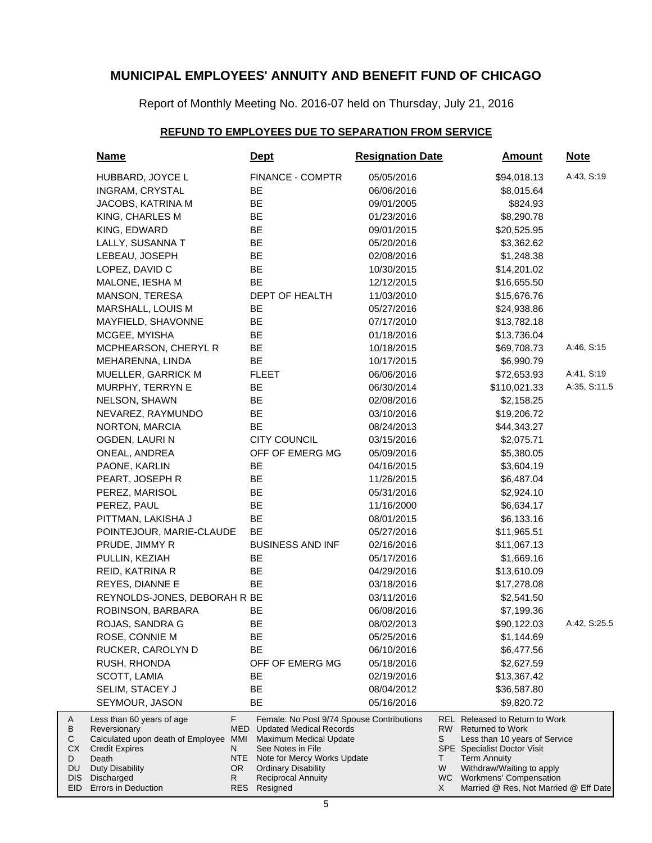Report of Monthly Meeting No. 2016-07 held on Thursday, July 21, 2016

### **REFUND TO EMPLOYEES DUE TO SEPARATION FROM SERVICE**

| <b>Name</b>                                                    |      | <b>Dept</b>                                 | <b>Resignation Date</b> |     | <b>Amount</b>                                                       | <b>Note</b>  |
|----------------------------------------------------------------|------|---------------------------------------------|-------------------------|-----|---------------------------------------------------------------------|--------------|
| HUBBARD, JOYCE L                                               |      | <b>FINANCE - COMPTR</b>                     | 05/05/2016              |     | \$94,018.13                                                         | A:43, S:19   |
| INGRAM, CRYSTAL                                                |      | BE                                          | 06/06/2016              |     | \$8,015.64                                                          |              |
| JACOBS, KATRINA M                                              |      | BE                                          | 09/01/2005              |     | \$824.93                                                            |              |
| KING, CHARLES M                                                |      | BE                                          | 01/23/2016              |     | \$8,290.78                                                          |              |
| KING, EDWARD                                                   |      | BE                                          | 09/01/2015              |     | \$20,525.95                                                         |              |
| LALLY, SUSANNA T                                               |      | BE                                          | 05/20/2016              |     | \$3,362.62                                                          |              |
| LEBEAU, JOSEPH                                                 |      | BE                                          | 02/08/2016              |     | \$1,248.38                                                          |              |
| LOPEZ, DAVID C                                                 |      | <b>BE</b>                                   | 10/30/2015              |     | \$14,201.02                                                         |              |
| MALONE, IESHA M                                                |      | <b>BE</b>                                   | 12/12/2015              |     | \$16,655.50                                                         |              |
| MANSON, TERESA                                                 |      | DEPT OF HEALTH                              | 11/03/2010              |     | \$15,676.76                                                         |              |
| MARSHALL, LOUIS M                                              |      | BE                                          | 05/27/2016              |     | \$24,938.86                                                         |              |
| MAYFIELD, SHAVONNE                                             |      | BE                                          | 07/17/2010              |     | \$13,782.18                                                         |              |
| MCGEE, MYISHA                                                  |      | BE                                          | 01/18/2016              |     | \$13,736.04                                                         |              |
| MCPHEARSON, CHERYL R                                           |      | BE                                          | 10/18/2015              |     | \$69,708.73                                                         | A:46, S:15   |
| MEHARENNA, LINDA                                               |      | <b>BE</b>                                   | 10/17/2015              |     | \$6,990.79                                                          |              |
| MUELLER, GARRICK M                                             |      | <b>FLEET</b>                                | 06/06/2016              |     | \$72,653.93                                                         | A:41, S:19   |
| MURPHY, TERRYN E                                               |      | BE                                          | 06/30/2014              |     | \$110,021.33                                                        | A:35, S:11.5 |
| NELSON, SHAWN                                                  |      | BE                                          | 02/08/2016              |     | \$2,158.25                                                          |              |
| NEVAREZ, RAYMUNDO                                              |      | BE                                          | 03/10/2016              |     | \$19,206.72                                                         |              |
| NORTON, MARCIA                                                 |      | <b>BE</b>                                   | 08/24/2013              |     | \$44,343.27                                                         |              |
| OGDEN, LAURIN                                                  |      | <b>CITY COUNCIL</b>                         | 03/15/2016              |     | \$2,075.71                                                          |              |
| ONEAL, ANDREA                                                  |      | OFF OF EMERG MG                             | 05/09/2016              |     | \$5,380.05                                                          |              |
| PAONE, KARLIN                                                  |      | BE                                          | 04/16/2015              |     | \$3,604.19                                                          |              |
| PEART, JOSEPH R                                                |      | BE                                          | 11/26/2015              |     | \$6,487.04                                                          |              |
| PEREZ, MARISOL                                                 |      | BE                                          | 05/31/2016              |     | \$2,924.10                                                          |              |
| PEREZ, PAUL                                                    |      | BE                                          | 11/16/2000              |     | \$6,634.17                                                          |              |
| PITTMAN, LAKISHA J                                             |      | BE                                          | 08/01/2015              |     | \$6,133.16                                                          |              |
| POINTEJOUR, MARIE-CLAUDE                                       |      | BE                                          | 05/27/2016              |     | \$11,965.51                                                         |              |
| PRUDE, JIMMY R                                                 |      | <b>BUSINESS AND INF</b>                     | 02/16/2016              |     | \$11,067.13                                                         |              |
| PULLIN, KEZIAH                                                 |      | BE                                          | 05/17/2016              |     | \$1,669.16                                                          |              |
| REID, KATRINA R                                                |      | BE                                          | 04/29/2016              |     | \$13,610.09                                                         |              |
| REYES, DIANNE E                                                |      | BE                                          | 03/18/2016              |     | \$17,278.08                                                         |              |
| REYNOLDS-JONES, DEBORAH R BE                                   |      |                                             | 03/11/2016              |     | \$2,541.50                                                          |              |
| ROBINSON, BARBARA                                              |      | BE                                          | 06/08/2016              |     | \$7,199.36                                                          |              |
| ROJAS, SANDRA G                                                |      | BE                                          | 08/02/2013              |     | \$90,122.03                                                         | A:42, S:25.5 |
| ROSE, CONNIE M                                                 |      | BE                                          | 05/25/2016              |     | \$1,144.69                                                          |              |
| RUCKER, CAROLYN D                                              |      | <b>BE</b>                                   | 06/10/2016              |     | \$6,477.56                                                          |              |
| RUSH, RHONDA                                                   |      | OFF OF EMERG MG                             | 05/18/2016              |     | \$2,627.59                                                          |              |
| SCOTT, LAMIA                                                   |      | ВE                                          | 02/19/2016              |     | \$13,367.42                                                         |              |
| SELIM, STACEY J                                                |      | BЕ                                          | 08/04/2012              |     | \$36,587.80                                                         |              |
| SEYMOUR, JASON                                                 |      | BE                                          | 05/16/2016              |     | \$9,820.72                                                          |              |
| Less than 60 years of age                                      | F.   | Female: No Post 9/74 Spouse Contributions   |                         |     | <b>REL</b> Released to Return to Work                               |              |
| Reversionary                                                   | MED  | <b>Updated Medical Records</b>              |                         | RW. | <b>Returned to Work</b>                                             |              |
| Calculated upon death of Employee MMI<br><b>Credit Expires</b> | N    | Maximum Medical Update<br>See Notes in File |                         | S   | Less than 10 years of Service<br><b>SPE</b> Specialist Doctor Visit |              |
| Death                                                          | NTE. | Note for Mercy Works Update                 |                         | Τ   | <b>Term Annuity</b>                                                 |              |
| <b>Duty Disability</b>                                         | OR.  | <b>Ordinary Disability</b>                  |                         | W   | Withdraw/Waiting to apply                                           |              |
| Discharged<br>Errors in Deduction                              | R    | <b>Reciprocal Annuity</b><br>RES Resigned   |                         | X   | WC Workmens' Compensation<br>Married @ Res, Not Married @ Eff Date  |              |

A B C CX D DU DIS EID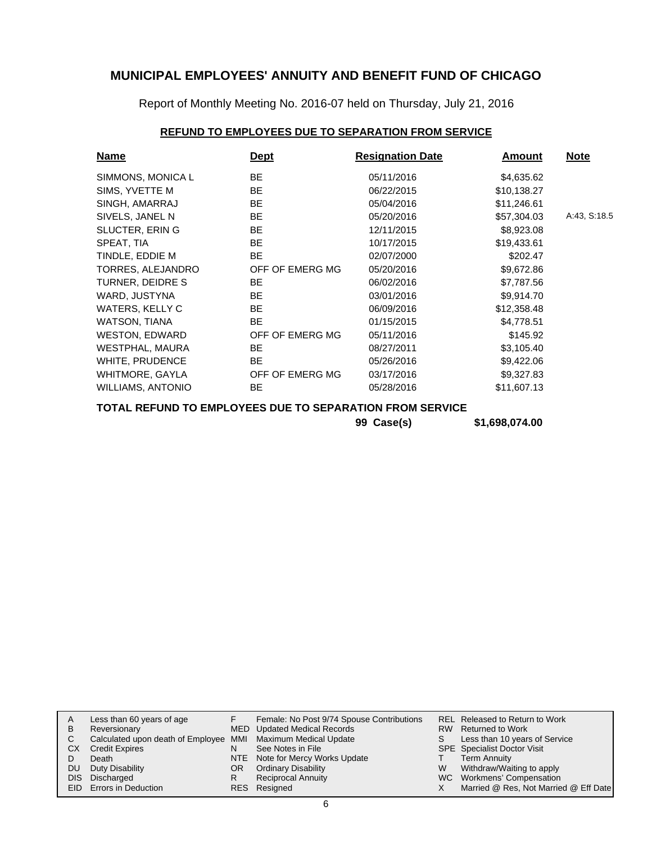Report of Monthly Meeting No. 2016-07 held on Thursday, July 21, 2016

### **REFUND TO EMPLOYEES DUE TO SEPARATION FROM SERVICE**

| <b>Name</b>              | <b>Dept</b>     | <b>Resignation Date</b> | Amount      | <b>Note</b>  |
|--------------------------|-----------------|-------------------------|-------------|--------------|
| SIMMONS, MONICA L        | <b>BE</b>       | 05/11/2016              | \$4,635.62  |              |
| SIMS, YVETTE M           | BE.             | 06/22/2015              | \$10,138.27 |              |
| SINGH, AMARRAJ           | <b>BE</b>       | 05/04/2016              | \$11,246.61 |              |
| SIVELS, JANEL N          | <b>BE</b>       | 05/20/2016              | \$57,304.03 | A:43, S:18.5 |
| <b>SLUCTER, ERING</b>    | <b>BE</b>       | 12/11/2015              | \$8,923.08  |              |
| SPEAT, TIA               | <b>BE</b>       | 10/17/2015              | \$19,433.61 |              |
| TINDLE, EDDIE M          | <b>BE</b>       | 02/07/2000              | \$202.47    |              |
| TORRES, ALEJANDRO        | OFF OF EMERG MG | 05/20/2016              | \$9,672.86  |              |
| TURNER, DEIDRE S         | BE.             | 06/02/2016              | \$7,787.56  |              |
| WARD, JUSTYNA            | BE.             | 03/01/2016              | \$9,914.70  |              |
| WATERS, KELLY C          | BE.             | 06/09/2016              | \$12,358.48 |              |
| WATSON, TIANA            | <b>BE</b>       | 01/15/2015              | \$4,778.51  |              |
| <b>WESTON, EDWARD</b>    | OFF OF EMERG MG | 05/11/2016              | \$145.92    |              |
| WESTPHAL, MAURA          | <b>BE</b>       | 08/27/2011              | \$3,105.40  |              |
| <b>WHITE, PRUDENCE</b>   | BE.             | 05/26/2016              | \$9,422.06  |              |
| WHITMORE, GAYLA          | OFF OF EMERG MG | 03/17/2016              | \$9,327.83  |              |
| <b>WILLIAMS, ANTONIO</b> | BE.             | 05/28/2016              | \$11,607.13 |              |

**TOTAL REFUND TO EMPLOYEES DUE TO SEPARATION FROM SERVICE**

**99 Case(s) \$1,698,074.00**

|    | Less than 60 years of age                                    |     | Female: No Post 9/74 Spouse Contributions |    | <b>REL Released to Return to Work</b> |
|----|--------------------------------------------------------------|-----|-------------------------------------------|----|---------------------------------------|
|    |                                                              |     |                                           |    |                                       |
| B  | Reversionary                                                 |     | MED Updated Medical Records               |    | RW Returned to Work                   |
|    | Calculated upon death of Employee MMI Maximum Medical Update |     |                                           | S. | Less than 10 years of Service         |
| СX | <b>Credit Expires</b>                                        | N   | See Notes in File                         |    | <b>SPE</b> Specialist Doctor Visit    |
|    | Death                                                        |     | NTE Note for Mercy Works Update           |    | Term Annuity                          |
| DU | Duty Disability                                              | OR. | <b>Ordinary Disability</b>                | W  | Withdraw/Waiting to apply             |
|    | DIS Discharged                                               |     | <b>Reciprocal Annuity</b>                 |    | WC Workmens' Compensation             |
|    | <b>EID</b> Errors in Deduction                               |     | RES Resigned                              |    | Married @ Res, Not Married @ Eff Date |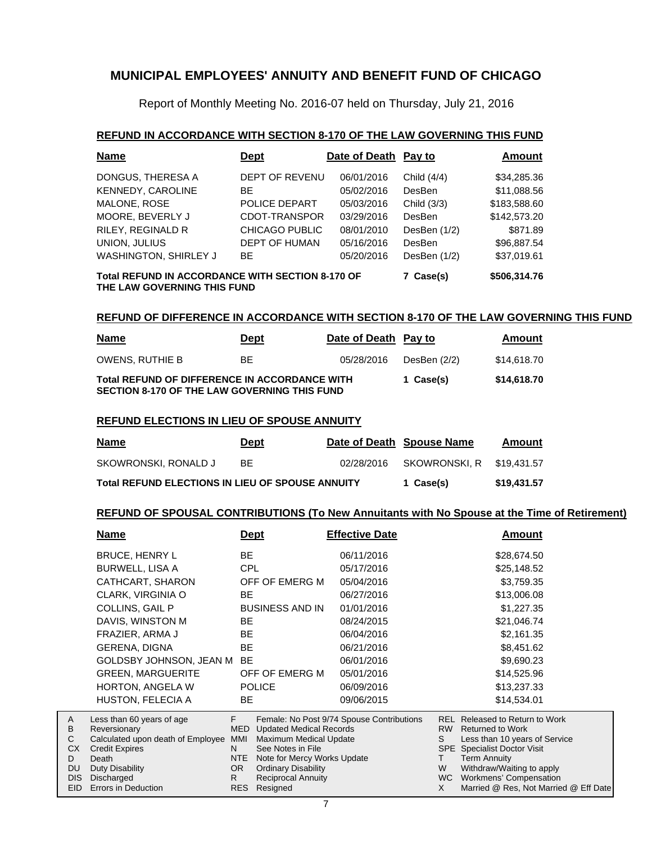Report of Monthly Meeting No. 2016-07 held on Thursday, July 21, 2016

#### **REFUND IN ACCORDANCE WITH SECTION 8-170 OF THE LAW GOVERNING THIS FUND**

| <b>Name</b>                                                                                                         | <b>Dept</b>           | Date of Death Pay to |                | Amount       |  |  |  |
|---------------------------------------------------------------------------------------------------------------------|-----------------------|----------------------|----------------|--------------|--|--|--|
| DONGUS, THERESA A                                                                                                   | DEPT OF REVENU        | 06/01/2016           | Child (4/4)    | \$34,285.36  |  |  |  |
| KENNEDY, CAROLINE                                                                                                   | <b>BE</b>             | 05/02/2016           | <b>DesBen</b>  | \$11,088.56  |  |  |  |
| MALONE, ROSE                                                                                                        | POLICE DEPART         | 05/03/2016           | Child (3/3)    | \$183,588.60 |  |  |  |
| MOORE. BEVERLY J                                                                                                    | CDOT-TRANSPOR         | 03/29/2016           | DesBen         | \$142,573.20 |  |  |  |
| RILEY, REGINALD R                                                                                                   | <b>CHICAGO PUBLIC</b> | 08/01/2010           | DesBen (1/2)   | \$871.89     |  |  |  |
| UNION, JULIUS                                                                                                       | DEPT OF HUMAN         | 05/16/2016           | DesBen         | \$96,887.54  |  |  |  |
| <b>WASHINGTON, SHIRLEY J</b>                                                                                        | <b>BE</b>             | 05/20/2016           | DesBen $(1/2)$ | \$37,019.61  |  |  |  |
| <b>Total REFUND IN ACCORDANCE WITH SECTION 8-170 OF</b><br>\$506,314.76<br>7 Case(s)<br>THE LAW GOVERNING THIS FUND |                       |                      |                |              |  |  |  |

#### **REFUND OF DIFFERENCE IN ACCORDANCE WITH SECTION 8-170 OF THE LAW GOVERNING THIS FUND**

| <u>Name</u>                                                                                          | <b>Dept</b> | Date of Death Pay to |              | Amount      |
|------------------------------------------------------------------------------------------------------|-------------|----------------------|--------------|-------------|
| OWENS, RUTHIE B                                                                                      | BE.         | 05/28/2016           | DesBen (2/2) | \$14,618,70 |
| <b>Total REFUND OF DIFFERENCE IN ACCORDANCE WITH</b><br>SECTION 8-170 OF THE LAW GOVERNING THIS FUND |             |                      | 1 Case(s)    | \$14,618.70 |

#### **REFUND ELECTIONS IN LIEU OF SPOUSE ANNUITY**

| <u>Name</u>                                             | <u>Dept</u> |             | Date of Death Spouse Name | Amount |
|---------------------------------------------------------|-------------|-------------|---------------------------|--------|
| SKOWRONSKI, RONALD J                                    | <b>BF</b>   | 02/28/2016  | SKOWRONSKI, R \$19,431,57 |        |
| <b>Total REFUND ELECTIONS IN LIEU OF SPOUSE ANNUITY</b> | 1 Case(s)   | \$19.431.57 |                           |        |

#### **REFUND OF SPOUSAL CONTRIBUTIONS (To New Annuitants with No Spouse at the Time of Retirement)**

|            | <u>Name</u>                                       |            | <u>Dept</u>                                                  | <b>Effective Date</b>                     |                 | Amount                                                   |
|------------|---------------------------------------------------|------------|--------------------------------------------------------------|-------------------------------------------|-----------------|----------------------------------------------------------|
|            | <b>BRUCE, HENRY L</b>                             | BE.        |                                                              | 06/11/2016                                |                 | \$28,674.50                                              |
|            | <b>BURWELL, LISA A</b>                            | CPL        |                                                              | 05/17/2016                                |                 | \$25,148.52                                              |
|            | CATHCART, SHARON                                  |            | OFF OF EMERG M                                               | 05/04/2016                                |                 | \$3,759.35                                               |
|            | CLARK, VIRGINIA O                                 | BE.        |                                                              | 06/27/2016                                |                 | \$13,006.08                                              |
|            | <b>COLLINS, GAIL P</b>                            |            | <b>BUSINESS AND IN</b>                                       | 01/01/2016                                |                 | \$1,227.35                                               |
|            | DAVIS, WINSTON M                                  | BE         |                                                              | 08/24/2015                                |                 | \$21,046.74                                              |
|            | FRAZIER, ARMA J                                   | BE.        |                                                              | 06/04/2016                                |                 | \$2,161.35                                               |
|            | <b>GERENA, DIGNA</b>                              | BE         |                                                              | 06/21/2016                                |                 | \$8,451.62                                               |
|            | GOLDSBY JOHNSON, JEAN M                           | BE         |                                                              | 06/01/2016                                |                 | \$9,690.23                                               |
|            | <b>GREEN, MARGUERITE</b>                          |            | OFF OF EMERG M                                               | 05/01/2016                                |                 | \$14,525.96                                              |
|            | <b>HORTON, ANGELA W</b>                           |            | <b>POLICE</b>                                                | 06/09/2016                                |                 | \$13,237.33                                              |
|            | HUSTON, FELECIA A                                 | BE.        |                                                              | 09/06/2015                                |                 | \$14,534.01                                              |
| A          | Less than 60 years of age                         | F.         |                                                              | Female: No Post 9/74 Spouse Contributions |                 | <b>REL Released to Return to Work</b>                    |
| В<br>С     | Reversionary<br>Calculated upon death of Employee | MMI        | <b>MED</b> Updated Medical Records<br>Maximum Medical Update |                                           | <b>RW</b><br>S. | <b>Returned to Work</b><br>Less than 10 years of Service |
| <b>CX</b>  | <b>Credit Expires</b>                             | N.         | See Notes in File                                            |                                           |                 | <b>SPE</b> Specialist Doctor Visit                       |
| D          | Death                                             | <b>NTE</b> | Note for Mercy Works Update                                  |                                           | T.              | <b>Term Annuity</b>                                      |
| DU         | Duty Disability                                   | OR.        | <b>Ordinary Disability</b>                                   |                                           | W               | Withdraw/Waiting to apply                                |
| <b>DIS</b> | Discharged                                        | R.         | <b>Reciprocal Annuity</b>                                    |                                           | <b>WC</b>       | Workmens' Compensation                                   |
| EID.       | Errors in Deduction                               | <b>RES</b> | Resigned                                                     |                                           | X               | Married @ Res, Not Married @ Eff Date                    |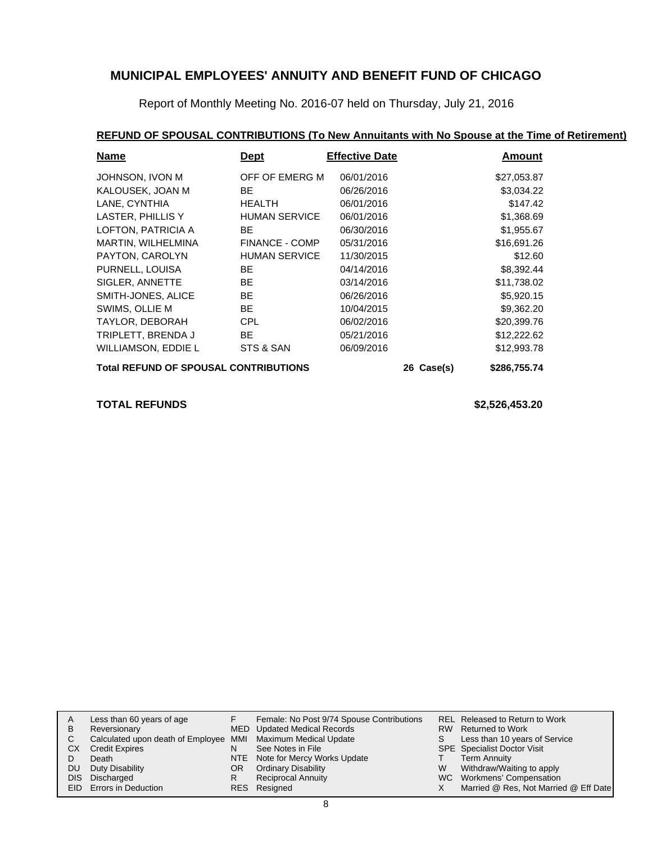Report of Monthly Meeting No. 2016-07 held on Thursday, July 21, 2016

### **REFUND OF SPOUSAL CONTRIBUTIONS (To New Annuitants with No Spouse at the Time of Retirement)**

| <b>Name</b>                                  | <b>Dept</b>           | <b>Effective Date</b> |  | Amount      |
|----------------------------------------------|-----------------------|-----------------------|--|-------------|
| JOHNSON, IVON M                              | OFF OF EMERG M        | 06/01/2016            |  | \$27,053.87 |
| KALOUSEK, JOAN M                             | BE.                   | 06/26/2016            |  | \$3,034.22  |
| LANE, CYNTHIA                                | <b>HEALTH</b>         | 06/01/2016            |  | \$147.42    |
| LASTER, PHILLIS Y                            | <b>HUMAN SERVICE</b>  | 06/01/2016            |  | \$1,368.69  |
| LOFTON, PATRICIA A                           | BE.                   | 06/30/2016            |  | \$1,955.67  |
| MARTIN, WILHELMINA                           | <b>FINANCE - COMP</b> | 05/31/2016            |  | \$16,691.26 |
| PAYTON, CAROLYN                              | <b>HUMAN SERVICE</b>  | 11/30/2015            |  | \$12.60     |
| PURNELL, LOUISA                              | <b>BE</b>             | 04/14/2016            |  | \$8,392.44  |
| SIGLER, ANNETTE                              | BE.                   | 03/14/2016            |  | \$11,738.02 |
| SMITH-JONES, ALICE                           | BE.                   | 06/26/2016            |  | \$5,920.15  |
| SWIMS, OLLIE M                               | BE.                   | 10/04/2015            |  | \$9,362.20  |
| TAYLOR, DEBORAH                              | <b>CPL</b>            | 06/02/2016            |  | \$20,399.76 |
| TRIPLETT, BRENDA J                           | BE.                   | 05/21/2016            |  | \$12,222.62 |
| <b>WILLIAMSON, EDDIE L</b>                   | STS & SAN             | 06/09/2016            |  | \$12,993.78 |
| <b>Total REFUND OF SPOUSAL CONTRIBUTIONS</b> | 26 Case(s)            | \$286,755.74          |  |             |

**TOTAL REFUNDS \$2,526,453.20**

|    | Less than 60 years of age                                    |    | Female: No Post 9/74 Spouse Contributions |    | REL Released to Return to Work        |
|----|--------------------------------------------------------------|----|-------------------------------------------|----|---------------------------------------|
| В  | Reversionary                                                 |    | MED Updated Medical Records               |    | RW Returned to Work                   |
|    | Calculated upon death of Employee MMI Maximum Medical Update |    |                                           | S. | Less than 10 years of Service         |
| CХ | <b>Credit Expires</b>                                        | N  | See Notes in File                         |    | <b>SPE</b> Specialist Doctor Visit    |
|    | Death                                                        |    | NTE Note for Mercy Works Update           |    | <b>Term Annuity</b>                   |
| DU | Duty Disability                                              | OR | <b>Ordinary Disability</b>                | W  | Withdraw/Waiting to apply             |
|    | DIS Discharged                                               |    | <b>Reciprocal Annuity</b>                 |    | WC Workmens' Compensation             |
|    | EID Errors in Deduction                                      |    | RES Resigned                              |    | Married @ Res, Not Married @ Eff Date |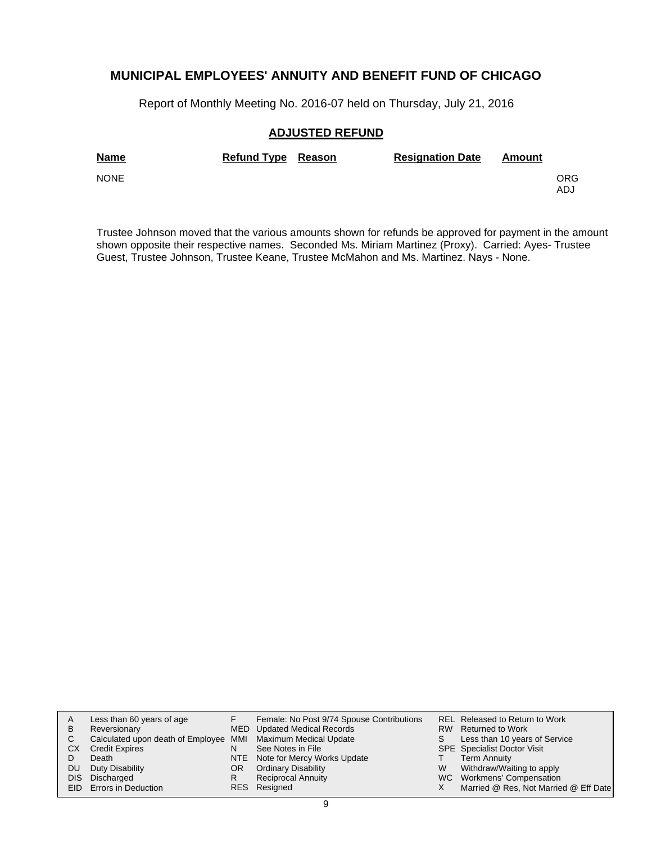Report of Monthly Meeting No. 2016-07 held on Thursday, July 21, 2016

#### **ADJUSTED REFUND**

| <b>Name</b> | Refund Type Reason | <b>Resignation Date</b> | Amount |             |
|-------------|--------------------|-------------------------|--------|-------------|
| <b>NONE</b> |                    |                         |        | ORG.<br>ADJ |

Trustee Johnson moved that the various amounts shown for refunds be approved for payment in the amount shown opposite their respective names. Seconded Ms. Miriam Martinez (Proxy). Carried: Ayes- Trustee Guest, Trustee Johnson, Trustee Keane, Trustee McMahon and Ms. Martinez. Nays - None.

|    | Less than 60 years of age                                    |     | Female: No Post 9/74 Spouse Contributions |   | REL Released to Return to Work        |
|----|--------------------------------------------------------------|-----|-------------------------------------------|---|---------------------------------------|
| в  | Reversionary                                                 |     | MED Updated Medical Records               |   | RW Returned to Work                   |
| C  | Calculated upon death of Employee MMI Maximum Medical Update |     |                                           | S | Less than 10 years of Service         |
| CХ | <b>Credit Expires</b>                                        | N   | See Notes in File                         |   | <b>SPE</b> Specialist Doctor Visit    |
|    | Death                                                        |     | NTE Note for Mercy Works Update           |   | Term Annuity                          |
| DU | Duty Disability                                              | OR. | <b>Ordinary Disability</b>                | W | Withdraw/Waiting to apply             |
|    | DIS Discharged                                               | R   | <b>Reciprocal Annuity</b>                 |   | WC Workmens' Compensation             |
|    | <b>EID</b> Errors in Deduction                               |     | RES Resigned                              |   | Married @ Res, Not Married @ Eff Date |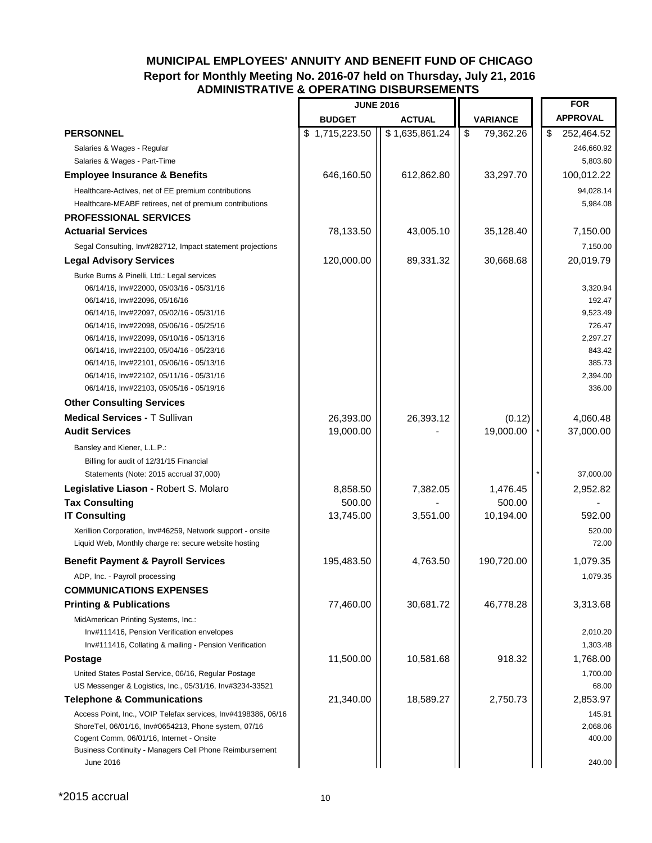### **MUNICIPAL EMPLOYEES' ANNUITY AND BENEFIT FUND OF CHICAGO Report for Monthly Meeting No. 2016-07 held on Thursday, July 21, 2016 ADMINISTRATIVE & OPERATING DISBURSEMENTS**

|                                                                                                     | <b>JUNE 2016</b> |                |                                                     | <b>FOR</b>         |
|-----------------------------------------------------------------------------------------------------|------------------|----------------|-----------------------------------------------------|--------------------|
|                                                                                                     | <b>BUDGET</b>    | <b>ACTUAL</b>  | <b>VARIANCE</b>                                     | <b>APPROVAL</b>    |
| <b>PERSONNEL</b>                                                                                    | \$1,715,223.50   | \$1,635,861.24 | $\overline{\boldsymbol{\mathfrak{s}}}$<br>79,362.26 | \$<br>252,464.52   |
| Salaries & Wages - Regular                                                                          |                  |                |                                                     | 246,660.92         |
| Salaries & Wages - Part-Time                                                                        |                  |                |                                                     | 5,803.60           |
| <b>Employee Insurance &amp; Benefits</b>                                                            | 646,160.50       | 612,862.80     | 33,297.70                                           | 100,012.22         |
| Healthcare-Actives, net of EE premium contributions                                                 |                  |                |                                                     | 94,028.14          |
| Healthcare-MEABF retirees, net of premium contributions                                             |                  |                |                                                     | 5,984.08           |
| <b>PROFESSIONAL SERVICES</b>                                                                        |                  |                |                                                     |                    |
| <b>Actuarial Services</b>                                                                           | 78,133.50        | 43,005.10      | 35,128.40                                           | 7,150.00           |
| Segal Consulting, Inv#282712, Impact statement projections                                          |                  |                |                                                     | 7,150.00           |
| <b>Legal Advisory Services</b>                                                                      | 120,000.00       | 89,331.32      | 30,668.68                                           | 20,019.79          |
| Burke Burns & Pinelli, Ltd.: Legal services                                                         |                  |                |                                                     |                    |
| 06/14/16, Inv#22000, 05/03/16 - 05/31/16                                                            |                  |                |                                                     | 3,320.94           |
| 06/14/16, Inv#22096, 05/16/16                                                                       |                  |                |                                                     | 192.47             |
| 06/14/16, Inv#22097, 05/02/16 - 05/31/16                                                            |                  |                |                                                     | 9,523.49           |
| 06/14/16, Inv#22098, 05/06/16 - 05/25/16                                                            |                  |                |                                                     | 726.47             |
| 06/14/16, Inv#22099, 05/10/16 - 05/13/16                                                            |                  |                |                                                     | 2,297.27           |
| 06/14/16, Inv#22100, 05/04/16 - 05/23/16                                                            |                  |                |                                                     | 843.42             |
| 06/14/16, Inv#22101, 05/06/16 - 05/13/16                                                            |                  |                |                                                     | 385.73             |
| 06/14/16, Inv#22102, 05/11/16 - 05/31/16<br>06/14/16, Inv#22103, 05/05/16 - 05/19/16                |                  |                |                                                     | 2,394.00<br>336.00 |
|                                                                                                     |                  |                |                                                     |                    |
| <b>Other Consulting Services</b>                                                                    |                  |                |                                                     |                    |
| <b>Medical Services - T Sullivan</b>                                                                | 26,393.00        | 26,393.12      | (0.12)                                              | 4,060.48           |
| <b>Audit Services</b>                                                                               | 19,000.00        |                | 19,000.00                                           | 37,000.00          |
| Bansley and Kiener, L.L.P.:                                                                         |                  |                |                                                     |                    |
| Billing for audit of 12/31/15 Financial                                                             |                  |                |                                                     |                    |
| Statements (Note: 2015 accrual 37,000)                                                              |                  |                |                                                     | 37,000.00          |
| Legislative Liason - Robert S. Molaro                                                               | 8,858.50         | 7,382.05       | 1,476.45                                            | 2,952.82           |
| <b>Tax Consulting</b>                                                                               | 500.00           |                | 500.00                                              |                    |
| <b>IT Consulting</b>                                                                                | 13,745.00        | 3,551.00       | 10,194.00                                           | 592.00             |
| Xerillion Corporation, Inv#46259, Network support - onsite                                          |                  |                |                                                     | 520.00             |
| Liquid Web, Monthly charge re: secure website hosting                                               |                  |                |                                                     | 72.00              |
| <b>Benefit Payment &amp; Payroll Services</b>                                                       | 195,483.50       | 4,763.50       | 190,720.00                                          | 1,079.35           |
| ADP, Inc. - Payroll processing                                                                      |                  |                |                                                     | 1,079.35           |
| <b>COMMUNICATIONS EXPENSES</b>                                                                      |                  |                |                                                     |                    |
| <b>Printing &amp; Publications</b>                                                                  | 77,460.00        | 30,681.72      | 46,778.28                                           | 3,313.68           |
| MidAmerican Printing Systems, Inc.:                                                                 |                  |                |                                                     |                    |
| Inv#111416, Pension Verification envelopes                                                          |                  |                |                                                     | 2,010.20           |
| Inv#111416, Collating & mailing - Pension Verification                                              |                  |                |                                                     | 1,303.48           |
| Postage                                                                                             | 11,500.00        | 10,581.68      | 918.32                                              | 1,768.00           |
| United States Postal Service, 06/16, Regular Postage                                                |                  |                |                                                     | 1,700.00           |
| US Messenger & Logistics, Inc., 05/31/16, Inv#3234-33521                                            |                  |                |                                                     | 68.00              |
| <b>Telephone &amp; Communications</b>                                                               | 21,340.00        | 18,589.27      | 2,750.73                                            | 2,853.97           |
| Access Point, Inc., VOIP Telefax services, Inv#4198386, 06/16                                       |                  |                |                                                     | 145.91             |
| ShoreTel, 06/01/16, Inv#0654213, Phone system, 07/16                                                |                  |                |                                                     | 2,068.06           |
| Cogent Comm, 06/01/16, Internet - Onsite<br>Business Continuity - Managers Cell Phone Reimbursement |                  |                |                                                     | 400.00             |
| June 2016                                                                                           |                  |                |                                                     | 240.00             |
|                                                                                                     |                  |                |                                                     |                    |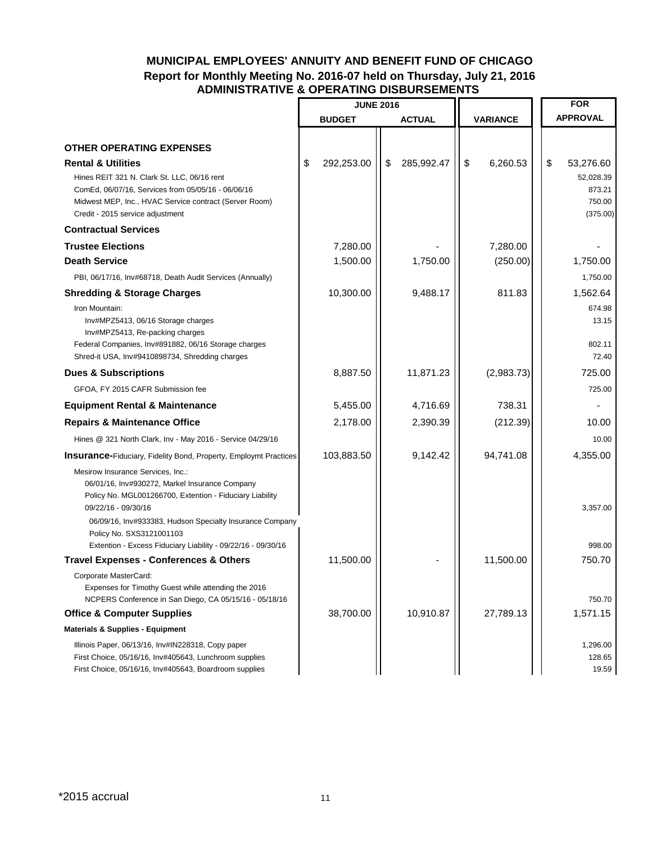### **MUNICIPAL EMPLOYEES' ANNUITY AND BENEFIT FUND OF CHICAGO Report for Monthly Meeting No. 2016-07 held on Thursday, July 21, 2016 ADMINISTRATIVE & OPERATING DISBURSEMENTS**

|                                                                                                               | <b>JUNE 2016</b> |                  |          |            |    | <b>FOR</b>       |
|---------------------------------------------------------------------------------------------------------------|------------------|------------------|----------|------------|----|------------------|
|                                                                                                               | <b>BUDGET</b>    | <b>ACTUAL</b>    | VARIANCE |            |    | <b>APPROVAL</b>  |
|                                                                                                               |                  |                  |          |            |    |                  |
| <b>OTHER OPERATING EXPENSES</b>                                                                               |                  |                  |          |            |    |                  |
| <b>Rental &amp; Utilities</b>                                                                                 | \$<br>292,253.00 | \$<br>285,992.47 | \$       | 6,260.53   | \$ | 53,276.60        |
| Hines REIT 321 N. Clark St. LLC, 06/16 rent                                                                   |                  |                  |          |            |    | 52,028.39        |
| ComEd, 06/07/16, Services from 05/05/16 - 06/06/16<br>Midwest MEP, Inc., HVAC Service contract (Server Room)  |                  |                  |          |            |    | 873.21<br>750.00 |
| Credit - 2015 service adjustment                                                                              |                  |                  |          |            |    | (375.00)         |
| <b>Contractual Services</b>                                                                                   |                  |                  |          |            |    |                  |
| <b>Trustee Elections</b>                                                                                      | 7,280.00         |                  |          | 7,280.00   |    |                  |
| <b>Death Service</b>                                                                                          | 1,500.00         | 1,750.00         |          | (250.00)   |    | 1,750.00         |
| PBI, 06/17/16, Inv#68718, Death Audit Services (Annually)                                                     |                  |                  |          |            |    | 1,750.00         |
| <b>Shredding &amp; Storage Charges</b>                                                                        | 10,300.00        | 9,488.17         |          | 811.83     |    | 1,562.64         |
| Iron Mountain:                                                                                                |                  |                  |          |            |    | 674.98           |
| Inv#MPZ5413, 06/16 Storage charges                                                                            |                  |                  |          |            |    | 13.15            |
| Inv#MPZ5413, Re-packing charges<br>Federal Companies, Inv#891882, 06/16 Storage charges                       |                  |                  |          |            |    | 802.11           |
| Shred-it USA, Inv#9410898734, Shredding charges                                                               |                  |                  |          |            |    | 72.40            |
| <b>Dues &amp; Subscriptions</b>                                                                               | 8,887.50         | 11,871.23        |          | (2,983.73) |    | 725.00           |
| GFOA, FY 2015 CAFR Submission fee                                                                             |                  |                  |          |            |    | 725.00           |
| <b>Equipment Rental &amp; Maintenance</b>                                                                     | 5,455.00         | 4,716.69         |          | 738.31     |    |                  |
| <b>Repairs &amp; Maintenance Office</b>                                                                       | 2,178.00         | 2,390.39         |          | (212.39)   |    | 10.00            |
| Hines @ 321 North Clark, Inv - May 2016 - Service 04/29/16                                                    |                  |                  |          |            |    | 10.00            |
| <b>Insurance-Fiduciary, Fidelity Bond, Property, Employmt Practices</b>                                       | 103,883.50       | 9,142.42         |          | 94,741.08  |    | 4,355.00         |
| Mesirow Insurance Services, Inc.:                                                                             |                  |                  |          |            |    |                  |
| 06/01/16, Inv#930272, Markel Insurance Company                                                                |                  |                  |          |            |    |                  |
| Policy No. MGL001266700, Extention - Fiduciary Liability<br>09/22/16 - 09/30/16                               |                  |                  |          |            |    | 3,357.00         |
| 06/09/16, Inv#933383, Hudson Specialty Insurance Company                                                      |                  |                  |          |            |    |                  |
| Policy No. SXS3121001103                                                                                      |                  |                  |          |            |    |                  |
| Extention - Excess Fiduciary Liability - 09/22/16 - 09/30/16                                                  |                  |                  |          |            |    | 998.00           |
| <b>Travel Expenses - Conferences &amp; Others</b>                                                             | 11,500.00        |                  |          | 11,500.00  |    | 750.70           |
| Corporate MasterCard:                                                                                         |                  |                  |          |            |    |                  |
| Expenses for Timothy Guest while attending the 2016<br>NCPERS Conference in San Diego, CA 05/15/16 - 05/18/16 |                  |                  |          |            |    | 750.70           |
| <b>Office &amp; Computer Supplies</b>                                                                         | 38,700.00        | 10,910.87        |          | 27,789.13  |    | 1,571.15         |
| <b>Materials &amp; Supplies - Equipment</b>                                                                   |                  |                  |          |            |    |                  |
| Illinois Paper, 06/13/16, Inv#IN228318, Copy paper                                                            |                  |                  |          |            |    | 1,296.00         |
| First Choice, 05/16/16, Inv#405643, Lunchroom supplies                                                        |                  |                  |          |            |    | 128.65           |
| First Choice, 05/16/16, Inv#405643, Boardroom supplies                                                        |                  |                  |          |            |    | 19.59            |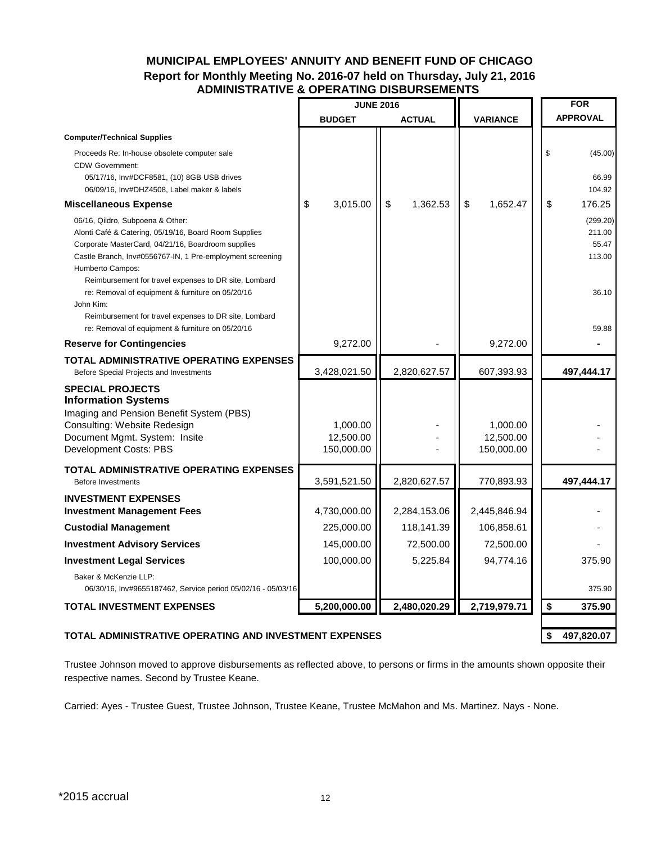### **MUNICIPAL EMPLOYEES' ANNUITY AND BENEFIT FUND OF CHICAGO Report for Monthly Meeting No. 2016-07 held on Thursday, July 21, 2016 ADMINISTRATIVE & OPERATING DISBURSEMENTS**

|                                                                                                                                                                                                                                                                                                                                                                                                                     | <b>JUNE 2016</b>                    |                |                                     | <b>FOR</b>                                     |
|---------------------------------------------------------------------------------------------------------------------------------------------------------------------------------------------------------------------------------------------------------------------------------------------------------------------------------------------------------------------------------------------------------------------|-------------------------------------|----------------|-------------------------------------|------------------------------------------------|
|                                                                                                                                                                                                                                                                                                                                                                                                                     | <b>BUDGET</b>                       | <b>ACTUAL</b>  | <b>VARIANCE</b>                     | <b>APPROVAL</b>                                |
| <b>Computer/Technical Supplies</b>                                                                                                                                                                                                                                                                                                                                                                                  |                                     |                |                                     |                                                |
| Proceeds Re: In-house obsolete computer sale<br><b>CDW Government:</b><br>05/17/16, Inv#DCF8581, (10) 8GB USB drives<br>06/09/16, Inv#DHZ4508, Label maker & labels                                                                                                                                                                                                                                                 |                                     |                |                                     | \$<br>(45.00)<br>66.99<br>104.92               |
| <b>Miscellaneous Expense</b>                                                                                                                                                                                                                                                                                                                                                                                        | \$<br>3,015.00                      | \$<br>1,362.53 | \$<br>1,652.47                      | \$<br>176.25                                   |
| 06/16, Qildro, Subpoena & Other:<br>Alonti Café & Catering, 05/19/16, Board Room Supplies<br>Corporate MasterCard, 04/21/16, Boardroom supplies<br>Castle Branch, Inv#0556767-IN, 1 Pre-employment screening<br>Humberto Campos:<br>Reimbursement for travel expenses to DR site, Lombard<br>re: Removal of equipment & furniture on 05/20/16<br>John Kim:<br>Reimbursement for travel expenses to DR site, Lombard |                                     |                |                                     | (299.20)<br>211.00<br>55.47<br>113.00<br>36.10 |
| re: Removal of equipment & furniture on 05/20/16                                                                                                                                                                                                                                                                                                                                                                    | 9,272.00                            |                | 9,272.00                            | 59.88                                          |
| <b>Reserve for Contingencies</b>                                                                                                                                                                                                                                                                                                                                                                                    |                                     |                |                                     |                                                |
| <b>TOTAL ADMINISTRATIVE OPERATING EXPENSES</b><br>Before Special Projects and Investments                                                                                                                                                                                                                                                                                                                           | 3,428,021.50                        | 2,820,627.57   | 607,393.93                          | 497,444.17                                     |
| <b>SPECIAL PROJECTS</b><br><b>Information Systems</b><br>Imaging and Pension Benefit System (PBS)<br>Consulting: Website Redesign<br>Document Mgmt. System: Insite<br>Development Costs: PBS                                                                                                                                                                                                                        | 1,000.00<br>12,500.00<br>150,000.00 |                | 1,000.00<br>12,500.00<br>150,000.00 |                                                |
| <b>TOTAL ADMINISTRATIVE OPERATING EXPENSES</b><br><b>Before Investments</b>                                                                                                                                                                                                                                                                                                                                         | 3,591,521.50                        | 2,820,627.57   | 770,893.93                          | 497,444.17                                     |
| <b>INVESTMENT EXPENSES</b><br><b>Investment Management Fees</b>                                                                                                                                                                                                                                                                                                                                                     | 4,730,000.00                        | 2,284,153.06   | 2,445,846.94                        |                                                |
| <b>Custodial Management</b>                                                                                                                                                                                                                                                                                                                                                                                         | 225,000.00                          | 118,141.39     | 106,858.61                          |                                                |
| <b>Investment Advisory Services</b>                                                                                                                                                                                                                                                                                                                                                                                 | 145,000.00                          | 72,500.00      | 72,500.00                           |                                                |
| <b>Investment Legal Services</b>                                                                                                                                                                                                                                                                                                                                                                                    | 100,000.00                          | 5,225.84       | 94,774.16                           | 375.90                                         |
| Baker & McKenzie LLP:<br>06/30/16, Inv#9655187462, Service period 05/02/16 - 05/03/16                                                                                                                                                                                                                                                                                                                               |                                     |                |                                     | 375.90                                         |
| <b>TOTAL INVESTMENT EXPENSES</b>                                                                                                                                                                                                                                                                                                                                                                                    | 5,200,000.00                        | 2,480,020.29   | 2,719,979.71                        | \$<br>375.90                                   |
| TOTAL ADMINISTRATIVE OPERATING AND INVESTMENT EXPENSES                                                                                                                                                                                                                                                                                                                                                              |                                     |                |                                     | 497,820.07<br>\$                               |

Trustee Johnson moved to approve disbursements as reflected above, to persons or firms in the amounts shown opposite their respective names. Second by Trustee Keane.

Carried: Ayes - Trustee Guest, Trustee Johnson, Trustee Keane, Trustee McMahon and Ms. Martinez. Nays - None.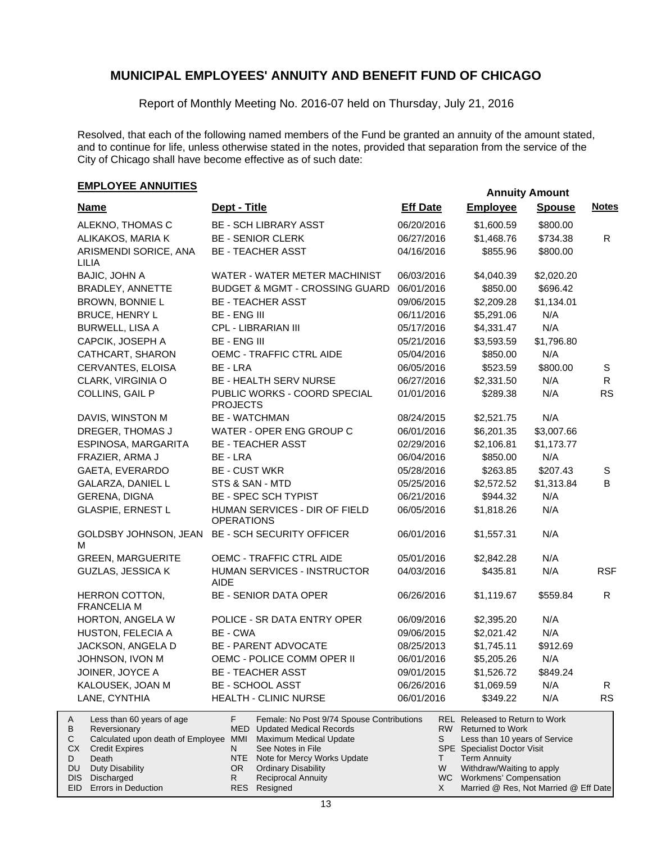Report of Monthly Meeting No. 2016-07 held on Thursday, July 21, 2016

Resolved, that each of the following named members of the Fund be granted an annuity of the amount stated, and to continue for life, unless otherwise stated in the notes, provided that separation from the service of the City of Chicago shall have become effective as of such date:

## **EMPLOYEE ANNUITIES**

EID Errors in Deduction

| <b>Name</b>                                                                                                                                             | Dept - Title                                                                                                                                                                                                                                                                                  | <b>Eff Date</b> | <b>Employee</b>                                                                                                                                                                                                      | <b>Spouse</b> | <b>Notes</b> |
|---------------------------------------------------------------------------------------------------------------------------------------------------------|-----------------------------------------------------------------------------------------------------------------------------------------------------------------------------------------------------------------------------------------------------------------------------------------------|-----------------|----------------------------------------------------------------------------------------------------------------------------------------------------------------------------------------------------------------------|---------------|--------------|
| ALEKNO, THOMAS C                                                                                                                                        | <b>BE - SCH LIBRARY ASST</b>                                                                                                                                                                                                                                                                  | 06/20/2016      | \$1,600.59                                                                                                                                                                                                           | \$800.00      |              |
| ALIKAKOS, MARIA K                                                                                                                                       | <b>BE - SENIOR CLERK</b>                                                                                                                                                                                                                                                                      | 06/27/2016      | \$1,468.76                                                                                                                                                                                                           | \$734.38      | R            |
| ARISMENDI SORICE, ANA<br>LILIA                                                                                                                          | <b>BE - TEACHER ASST</b>                                                                                                                                                                                                                                                                      | 04/16/2016      | \$855.96                                                                                                                                                                                                             | \$800.00      |              |
| BAJIC, JOHN A                                                                                                                                           | WATER - WATER METER MACHINIST                                                                                                                                                                                                                                                                 | 06/03/2016      | \$4,040.39                                                                                                                                                                                                           | \$2,020.20    |              |
| BRADLEY, ANNETTE                                                                                                                                        | <b>BUDGET &amp; MGMT - CROSSING GUARD</b>                                                                                                                                                                                                                                                     | 06/01/2016      | \$850.00                                                                                                                                                                                                             | \$696.42      |              |
| <b>BROWN, BONNIE L</b>                                                                                                                                  | <b>BE - TEACHER ASST</b>                                                                                                                                                                                                                                                                      | 09/06/2015      | \$2,209.28                                                                                                                                                                                                           | \$1,134.01    |              |
| <b>BRUCE, HENRY L</b>                                                                                                                                   | <b>BE - ENG III</b>                                                                                                                                                                                                                                                                           | 06/11/2016      | \$5,291.06                                                                                                                                                                                                           | N/A           |              |
| <b>BURWELL, LISA A</b>                                                                                                                                  | CPL - LIBRARIAN III                                                                                                                                                                                                                                                                           | 05/17/2016      | \$4,331.47                                                                                                                                                                                                           | N/A           |              |
| CAPCIK, JOSEPH A                                                                                                                                        | <b>BE - ENG III</b>                                                                                                                                                                                                                                                                           | 05/21/2016      | \$3,593.59                                                                                                                                                                                                           | \$1,796.80    |              |
| CATHCART, SHARON                                                                                                                                        | OEMC - TRAFFIC CTRL AIDE                                                                                                                                                                                                                                                                      | 05/04/2016      | \$850.00                                                                                                                                                                                                             | N/A           |              |
| CERVANTES, ELOISA                                                                                                                                       | BE - LRA                                                                                                                                                                                                                                                                                      | 06/05/2016      | \$523.59                                                                                                                                                                                                             | \$800.00      | $\mathbb S$  |
| CLARK, VIRGINIA O                                                                                                                                       | BE - HEALTH SERV NURSE                                                                                                                                                                                                                                                                        | 06/27/2016      | \$2,331.50                                                                                                                                                                                                           | N/A           | R            |
| COLLINS, GAIL P                                                                                                                                         | PUBLIC WORKS - COORD SPECIAL<br><b>PROJECTS</b>                                                                                                                                                                                                                                               | 01/01/2016      | \$289.38                                                                                                                                                                                                             | N/A           | <b>RS</b>    |
| DAVIS, WINSTON M                                                                                                                                        | <b>BE - WATCHMAN</b>                                                                                                                                                                                                                                                                          | 08/24/2015      | \$2,521.75                                                                                                                                                                                                           | N/A           |              |
| DREGER, THOMAS J                                                                                                                                        | WATER - OPER ENG GROUP C                                                                                                                                                                                                                                                                      | 06/01/2016      | \$6,201.35                                                                                                                                                                                                           | \$3,007.66    |              |
| ESPINOSA, MARGARITA                                                                                                                                     | <b>BE - TEACHER ASST</b>                                                                                                                                                                                                                                                                      | 02/29/2016      | \$2,106.81                                                                                                                                                                                                           | \$1,173.77    |              |
| FRAZIER, ARMA J                                                                                                                                         | BE - LRA                                                                                                                                                                                                                                                                                      | 06/04/2016      | \$850.00                                                                                                                                                                                                             | N/A           |              |
| GAETA, EVERARDO                                                                                                                                         | <b>BE - CUST WKR</b>                                                                                                                                                                                                                                                                          | 05/28/2016      | \$263.85                                                                                                                                                                                                             | \$207.43      | S            |
| GALARZA, DANIEL L                                                                                                                                       | STS & SAN - MTD                                                                                                                                                                                                                                                                               | 05/25/2016      | \$2,572.52                                                                                                                                                                                                           | \$1,313.84    | B            |
| <b>GERENA, DIGNA</b>                                                                                                                                    | <b>BE - SPEC SCH TYPIST</b>                                                                                                                                                                                                                                                                   | 06/21/2016      | \$944.32                                                                                                                                                                                                             | N/A           |              |
| <b>GLASPIE, ERNEST L</b>                                                                                                                                | HUMAN SERVICES - DIR OF FIELD<br><b>OPERATIONS</b>                                                                                                                                                                                                                                            | 06/05/2016      | \$1,818.26                                                                                                                                                                                                           | N/A           |              |
| м                                                                                                                                                       | GOLDSBY JOHNSON, JEAN BE - SCH SECURITY OFFICER                                                                                                                                                                                                                                               | 06/01/2016      | \$1,557.31                                                                                                                                                                                                           | N/A           |              |
| <b>GREEN, MARGUERITE</b>                                                                                                                                | OEMC - TRAFFIC CTRL AIDE                                                                                                                                                                                                                                                                      | 05/01/2016      | \$2,842.28                                                                                                                                                                                                           | N/A           |              |
| <b>GUZLAS, JESSICA K</b>                                                                                                                                | HUMAN SERVICES - INSTRUCTOR<br><b>AIDE</b>                                                                                                                                                                                                                                                    | 04/03/2016      | \$435.81                                                                                                                                                                                                             | N/A           | <b>RSF</b>   |
| HERRON COTTON,<br><b>FRANCELIA M</b>                                                                                                                    | <b>BE - SENIOR DATA OPER</b>                                                                                                                                                                                                                                                                  | 06/26/2016      | \$1,119.67                                                                                                                                                                                                           | \$559.84      | R            |
| HORTON, ANGELA W                                                                                                                                        | POLICE - SR DATA ENTRY OPER                                                                                                                                                                                                                                                                   | 06/09/2016      | \$2,395.20                                                                                                                                                                                                           | N/A           |              |
| HUSTON, FELECIA A                                                                                                                                       | BE - CWA                                                                                                                                                                                                                                                                                      | 09/06/2015      | \$2,021.42                                                                                                                                                                                                           | N/A           |              |
| JACKSON, ANGELA D                                                                                                                                       | <b>BE - PARENT ADVOCATE</b>                                                                                                                                                                                                                                                                   | 08/25/2013      | \$1,745.11                                                                                                                                                                                                           | \$912.69      |              |
| JOHNSON, IVON M                                                                                                                                         | OEMC - POLICE COMM OPER II                                                                                                                                                                                                                                                                    | 06/01/2016      | \$5,205.26                                                                                                                                                                                                           | N/A           |              |
| JOINER, JOYCE A                                                                                                                                         | <b>BE - TEACHER ASST</b>                                                                                                                                                                                                                                                                      | 09/01/2015      | \$1,526.72                                                                                                                                                                                                           | \$849.24      |              |
| KALOUSEK, JOAN M                                                                                                                                        | <b>BE - SCHOOL ASST</b>                                                                                                                                                                                                                                                                       | 06/26/2016      | \$1,069.59                                                                                                                                                                                                           | N/A           | R.           |
| LANE, CYNTHIA                                                                                                                                           | <b>HEALTH - CLINIC NURSE</b>                                                                                                                                                                                                                                                                  | 06/01/2016      | \$349.22                                                                                                                                                                                                             | N/A           | <b>RS</b>    |
| Less than 60 years of age<br>A<br>В<br>Reversionary<br>С<br>СX<br><b>Credit Expires</b><br>Death<br>D<br>DU<br><b>Duty Disability</b><br>DIS Discharged | F.<br>Female: No Post 9/74 Spouse Contributions<br><b>MED</b> Updated Medical Records<br>Calculated upon death of Employee MMI Maximum Medical Update<br>See Notes in File<br>N.<br>NTE<br>Note for Mercy Works Update<br><b>Ordinary Disability</b><br>OR.<br><b>Reciprocal Annuity</b><br>R | S<br>T.<br>W    | <b>REL</b> Released to Return to Work<br>RW Returned to Work<br>Less than 10 years of Service<br><b>SPE</b> Specialist Doctor Visit<br><b>Term Annuity</b><br>Withdraw/Waiting to apply<br>WC Workmens' Compensation |               |              |

13

Resigned

RES

Married @ Res, Not Married @ Eff Date

X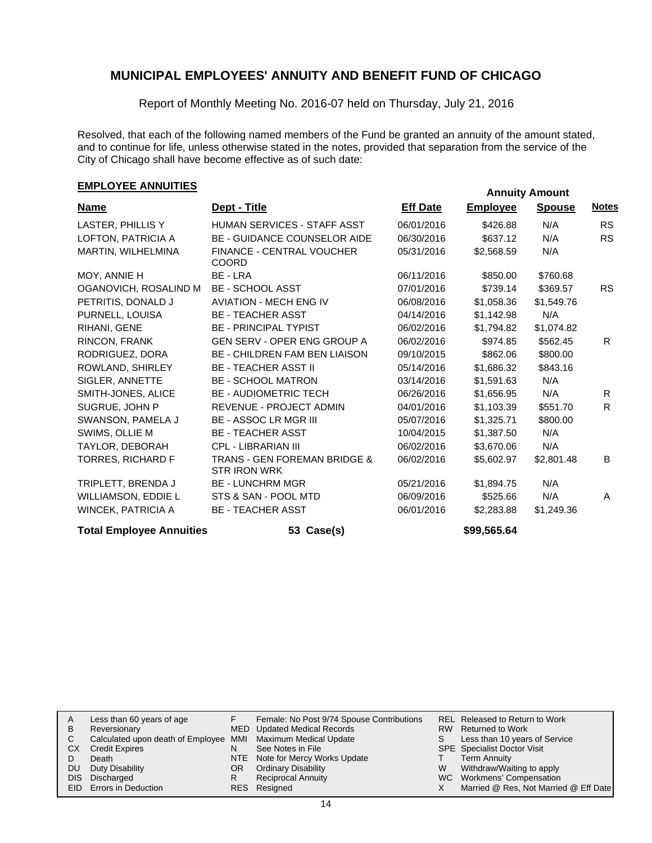Report of Monthly Meeting No. 2016-07 held on Thursday, July 21, 2016

Resolved, that each of the following named members of the Fund be granted an annuity of the amount stated, and to continue for life, unless otherwise stated in the notes, provided that separation from the service of the City of Chicago shall have become effective as of such date:

## **EMPLOYEE ANNUITIES**

| <b>Name</b>                     | Dept - Title                                                   | <b>Eff Date</b> | <b>Employee</b> | <b>Spouse</b> | <b>Notes</b> |  |  |  |
|---------------------------------|----------------------------------------------------------------|-----------------|-----------------|---------------|--------------|--|--|--|
| LASTER, PHILLIS Y               | <b>HUMAN SERVICES - STAFF ASST</b>                             | 06/01/2016      | \$426.88        | N/A           | <b>RS</b>    |  |  |  |
| LOFTON, PATRICIA A              | <b>BE - GUIDANCE COUNSELOR AIDE</b>                            | 06/30/2016      | \$637.12        | N/A           | <b>RS</b>    |  |  |  |
| MARTIN, WILHELMINA              | <b>FINANCE - CENTRAL VOUCHER</b><br><b>COORD</b>               | 05/31/2016      | \$2,568.59      | N/A           |              |  |  |  |
| MOY, ANNIE H                    | BE - LRA                                                       | 06/11/2016      | \$850.00        | \$760.68      |              |  |  |  |
| OGANOVICH, ROSALIND M           | <b>BE - SCHOOL ASST</b>                                        | 07/01/2016      | \$739.14        | \$369.57      | <b>RS</b>    |  |  |  |
| PETRITIS, DONALD J              | <b>AVIATION - MECH ENG IV</b>                                  | 06/08/2016      | \$1,058.36      | \$1,549.76    |              |  |  |  |
| PURNELL, LOUISA                 | <b>BE - TEACHER ASST</b>                                       | 04/14/2016      | \$1,142.98      | N/A           |              |  |  |  |
| RIHANI, GENE                    | <b>BE - PRINCIPAL TYPIST</b>                                   | 06/02/2016      | \$1,794.82      | \$1,074.82    |              |  |  |  |
| RINCON, FRANK                   | <b>GEN SERV - OPER ENG GROUP A</b>                             | 06/02/2016      | \$974.85        | \$562.45      | R.           |  |  |  |
| RODRIGUEZ, DORA                 | <b>BE - CHILDREN FAM BEN LIAISON</b>                           | 09/10/2015      | \$862.06        | \$800.00      |              |  |  |  |
| ROWLAND, SHIRLEY                | <b>BE - TEACHER ASST II</b>                                    | 05/14/2016      | \$1,686.32      | \$843.16      |              |  |  |  |
| SIGLER, ANNETTE                 | <b>BE - SCHOOL MATRON</b>                                      | 03/14/2016      | \$1,591.63      | N/A           |              |  |  |  |
| SMITH-JONES, ALICE              | <b>BE - AUDIOMETRIC TECH</b>                                   | 06/26/2016      | \$1,656.95      | N/A           | R.           |  |  |  |
| SUGRUE, JOHN P                  | <b>REVENUE - PROJECT ADMIN</b>                                 | 04/01/2016      | \$1,103.39      | \$551.70      | R.           |  |  |  |
| SWANSON, PAMELA J               | <b>BE - ASSOC LR MGR III</b>                                   | 05/07/2016      | \$1,325.71      | \$800.00      |              |  |  |  |
| SWIMS, OLLIE M                  | <b>BE - TEACHER ASST</b>                                       | 10/04/2015      | \$1,387.50      | N/A           |              |  |  |  |
| TAYLOR, DEBORAH                 | <b>CPL - LIBRARIAN III</b>                                     | 06/02/2016      | \$3,670.06      | N/A           |              |  |  |  |
| TORRES, RICHARD F               | <b>TRANS - GEN FOREMAN BRIDGE &amp;</b><br><b>STR IRON WRK</b> | 06/02/2016      | \$5,602.97      | \$2,801.48    | B            |  |  |  |
| TRIPLETT, BRENDA J              | <b>BE - LUNCHRM MGR</b>                                        | 05/21/2016      | \$1,894.75      | N/A           |              |  |  |  |
| WILLIAMSON, EDDIE L             | STS & SAN - POOL MTD                                           | 06/09/2016      | \$525.66        | N/A           | A            |  |  |  |
| WINCEK, PATRICIA A              | <b>BE - TEACHER ASST</b>                                       | 06/01/2016      | \$2,283.88      | \$1,249.36    |              |  |  |  |
| <b>Total Employee Annuities</b> | 53 Case(s)                                                     |                 | \$99,565.64     |               |              |  |  |  |

| A   | Less than 60 years of age                                    |     | Female: No Post 9/74 Spouse Contributions |    | REL Released to Return to Work        |
|-----|--------------------------------------------------------------|-----|-------------------------------------------|----|---------------------------------------|
| B   | Reversionary                                                 |     | MED Updated Medical Records               |    | RW Returned to Work                   |
| C.  | Calculated upon death of Employee MMI Maximum Medical Update |     |                                           | S. | Less than 10 years of Service         |
| СX  | <b>Credit Expires</b>                                        | N   | See Notes in File                         |    | <b>SPE</b> Specialist Doctor Visit    |
|     | Death                                                        |     | NTE Note for Mercy Works Update           |    | <b>Term Annuity</b>                   |
| DU. | Duty Disability                                              | OR. | <b>Ordinary Disability</b>                | W  | Withdraw/Waiting to apply             |
|     | DIS Discharged                                               | R   | <b>Reciprocal Annuity</b>                 |    | WC Workmens' Compensation             |
|     | <b>EID</b> Errors in Deduction                               |     | RES Resigned                              |    | Married @ Res, Not Married @ Eff Date |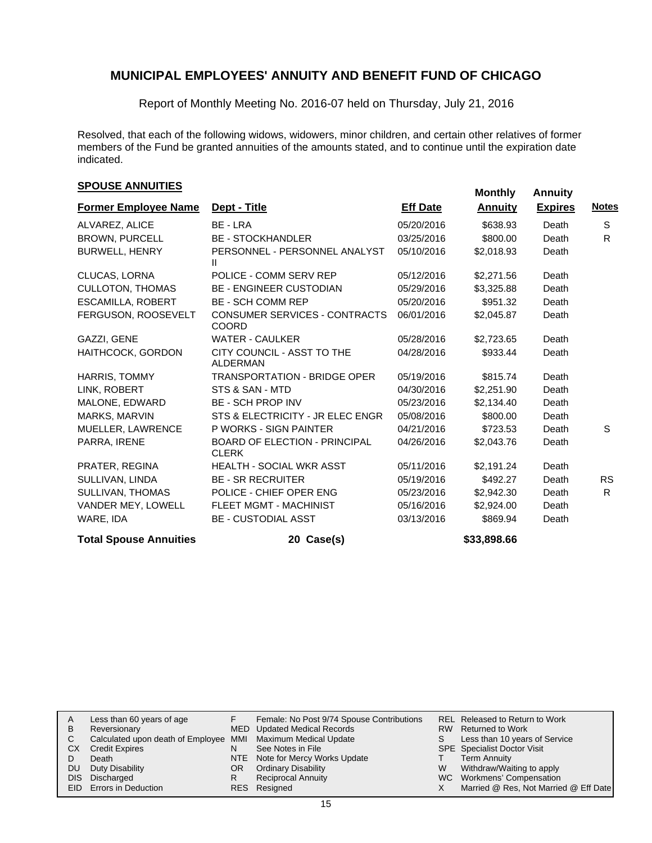Report of Monthly Meeting No. 2016-07 held on Thursday, July 21, 2016

Resolved, that each of the following widows, widowers, minor children, and certain other relatives of former members of the Fund be granted annuities of the amounts stated, and to continue until the expiration date indicated.

## **SPOUSE ANNUITIES**<br> **SPOUSE ANNUITIES**

|                               |                                                      |                 | monumy         | <b>AUTOR</b>   |              |
|-------------------------------|------------------------------------------------------|-----------------|----------------|----------------|--------------|
| <b>Former Employee Name</b>   | Dept - Title                                         | <b>Eff Date</b> | <b>Annuity</b> | <b>Expires</b> | <u>Notes</u> |
| ALVAREZ, ALICE                | BE - LRA                                             | 05/20/2016      | \$638.93       | Death          | S            |
| <b>BROWN, PURCELL</b>         | <b>BE - STOCKHANDLER</b>                             | 03/25/2016      | \$800.00       | Death          | R.           |
| <b>BURWELL, HENRY</b>         | PERSONNEL - PERSONNEL ANALYST<br>Ш                   | 05/10/2016      | \$2,018.93     | Death          |              |
| CLUCAS, LORNA                 | POLICE - COMM SERV REP                               | 05/12/2016      | \$2,271.56     | Death          |              |
| <b>CULLOTON, THOMAS</b>       | <b>BE - ENGINEER CUSTODIAN</b>                       | 05/29/2016      | \$3,325.88     | Death          |              |
| ESCAMILLA, ROBERT             | <b>BE - SCH COMM REP</b>                             | 05/20/2016      | \$951.32       | Death          |              |
| FERGUSON, ROOSEVELT           | CONSUMER SERVICES - CONTRACTS<br><b>COORD</b>        | 06/01/2016      | \$2,045.87     | Death          |              |
| GAZZI, GENE                   | <b>WATER - CAULKER</b>                               | 05/28/2016      | \$2,723.65     | Death          |              |
| HAITHCOCK, GORDON             | CITY COUNCIL - ASST TO THE<br><b>ALDERMAN</b>        | 04/28/2016      | \$933.44       | Death          |              |
| <b>HARRIS, TOMMY</b>          | <b>TRANSPORTATION - BRIDGE OPER</b>                  | 05/19/2016      | \$815.74       | Death          |              |
| LINK, ROBERT                  | STS & SAN - MTD                                      | 04/30/2016      | \$2,251.90     | Death          |              |
| MALONE, EDWARD                | <b>BE - SCH PROP INV</b>                             | 05/23/2016      | \$2,134.40     | Death          |              |
| <b>MARKS, MARVIN</b>          | STS & ELECTRICITY - JR ELEC ENGR                     | 05/08/2016      | \$800.00       | Death          |              |
| MUELLER, LAWRENCE             | P WORKS - SIGN PAINTER                               | 04/21/2016      | \$723.53       | Death          | S            |
| PARRA, IRENE                  | <b>BOARD OF ELECTION - PRINCIPAL</b><br><b>CLERK</b> | 04/26/2016      | \$2,043.76     | Death          |              |
| PRATER, REGINA                | <b>HEALTH - SOCIAL WKR ASST</b>                      | 05/11/2016      | \$2,191.24     | Death          |              |
| SULLIVAN, LINDA               | <b>BE - SR RECRUITER</b>                             | 05/19/2016      | \$492.27       | Death          | <b>RS</b>    |
| SULLIVAN, THOMAS              | POLICE - CHIEF OPER ENG                              | 05/23/2016      | \$2,942.30     | Death          | R.           |
| VANDER MEY, LOWELL            | <b>FLEET MGMT - MACHINIST</b>                        | 05/16/2016      | \$2,924.00     | Death          |              |
| WARE, IDA                     | <b>BE - CUSTODIAL ASST</b>                           | 03/13/2016      | \$869.94       | Death          |              |
| <b>Total Spouse Annuities</b> | 20 Case(s)                                           |                 | \$33,898.66    |                |              |

| A   | Less than 60 years of age                                    |     | Female: No Post 9/74 Spouse Contributions |    | REL Released to Return to Work        |
|-----|--------------------------------------------------------------|-----|-------------------------------------------|----|---------------------------------------|
| В   | Reversionary                                                 |     | MED Updated Medical Records               |    | RW Returned to Work                   |
|     | Calculated upon death of Employee MMI Maximum Medical Update |     |                                           | S. | Less than 10 years of Service         |
| CХ  | <b>Credit Expires</b>                                        | N   | See Notes in File                         |    | <b>SPE</b> Specialist Doctor Visit    |
|     | Death                                                        |     | NTE Note for Mercy Works Update           |    | <b>Term Annuity</b>                   |
| DU. | Duty Disability                                              | OR. | <b>Ordinary Disability</b>                | W  | Withdraw/Waiting to apply             |
|     | DIS Discharged                                               | R.  | <b>Reciprocal Annuity</b>                 |    | WC Workmens' Compensation             |
|     | <b>EID</b> Errors in Deduction                               |     | RES Resigned                              |    | Married @ Res, Not Married @ Eff Date |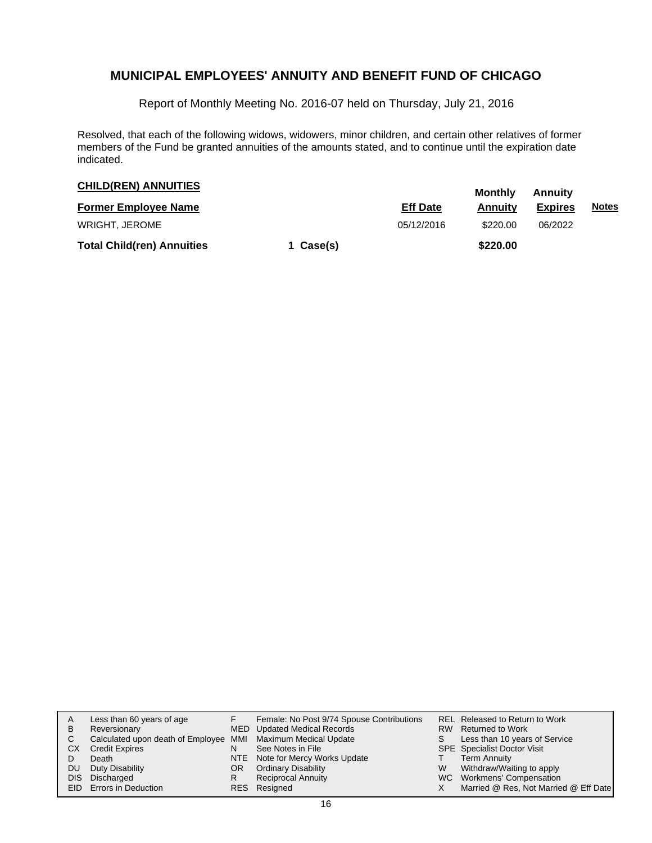Report of Monthly Meeting No. 2016-07 held on Thursday, July 21, 2016

Resolved, that each of the following widows, widowers, minor children, and certain other relatives of former members of the Fund be granted annuities of the amounts stated, and to continue until the expiration date indicated.

| <b>CHILD(REN) ANNUITIES</b>       |           |                 | Monthly  | Annuitv        |              |  |
|-----------------------------------|-----------|-----------------|----------|----------------|--------------|--|
| <b>Former Employee Name</b>       |           | <b>Eff Date</b> | Annuitv  | <b>Expires</b> | <u>Notes</u> |  |
| <b>WRIGHT, JEROME</b>             |           | 05/12/2016      | \$220.00 | 06/2022        |              |  |
| <b>Total Child(ren) Annuities</b> | 1 Case(s) |                 | \$220.00 |                |              |  |

| A<br>B<br>C<br>СX<br>DU. | Less than 60 years of age<br>Reversionary<br>Calculated upon death of Employee MMI Maximum Medical Update<br><b>Credit Expires</b><br>Death<br>Duty Disability<br>DIS Discharged<br><b>EID</b> Errors in Deduction | N<br>OR<br>R | Female: No Post 9/74 Spouse Contributions<br>MED Updated Medical Records<br>See Notes in File<br>NTE Note for Mercy Works Update<br><b>Ordinary Disability</b><br><b>Reciprocal Annuity</b><br>RES Resigned | W | REL Released to Return to Work<br>RW Returned to Work<br>Less than 10 years of Service<br><b>SPE</b> Specialist Doctor Visit<br><b>Term Annuity</b><br>Withdraw/Waiting to apply<br>WC Workmens' Compensation<br>Married @ Res, Not Married @ Eff Date |
|--------------------------|--------------------------------------------------------------------------------------------------------------------------------------------------------------------------------------------------------------------|--------------|-------------------------------------------------------------------------------------------------------------------------------------------------------------------------------------------------------------|---|--------------------------------------------------------------------------------------------------------------------------------------------------------------------------------------------------------------------------------------------------------|
|--------------------------|--------------------------------------------------------------------------------------------------------------------------------------------------------------------------------------------------------------------|--------------|-------------------------------------------------------------------------------------------------------------------------------------------------------------------------------------------------------------|---|--------------------------------------------------------------------------------------------------------------------------------------------------------------------------------------------------------------------------------------------------------|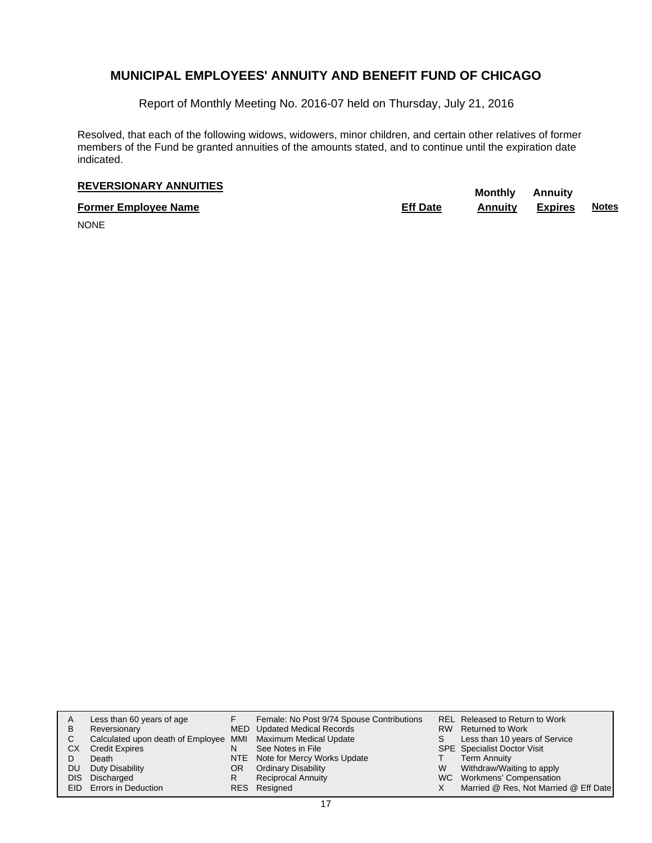Report of Monthly Meeting No. 2016-07 held on Thursday, July 21, 2016

Resolved, that each of the following widows, widowers, minor children, and certain other relatives of former members of the Fund be granted annuities of the amounts stated, and to continue until the expiration date indicated.

# **REVERSIONARY ANNUITIES** Monthly Annuity

**Former Employee Name Eff Date Annuity Expires Notes**

NONE

| A    | Less than 60 years of age                                    |    | Female: No Post 9/74 Spouse Contributions |   | REL Released to Return to Work        |
|------|--------------------------------------------------------------|----|-------------------------------------------|---|---------------------------------------|
| в    | Reversionary                                                 |    | MED Updated Medical Records               |   | RW Returned to Work                   |
| С    | Calculated upon death of Employee MMI Maximum Medical Update |    |                                           | S | Less than 10 years of Service         |
| СX   | <b>Credit Expires</b>                                        | N  | See Notes in File                         |   | <b>SPE</b> Specialist Doctor Visit    |
|      | Death                                                        |    | NTE Note for Mercy Works Update           |   | <b>Term Annuity</b>                   |
| DU   | Duty Disability                                              | OR | <b>Ordinary Disability</b>                | W | Withdraw/Waiting to apply             |
| DIS. | Discharged                                                   | R  | <b>Reciprocal Annuity</b>                 |   | WC Workmens' Compensation             |
|      | EID Errors in Deduction                                      |    | RES Resigned                              |   | Married @ Res, Not Married @ Eff Date |
|      |                                                              |    |                                           |   |                                       |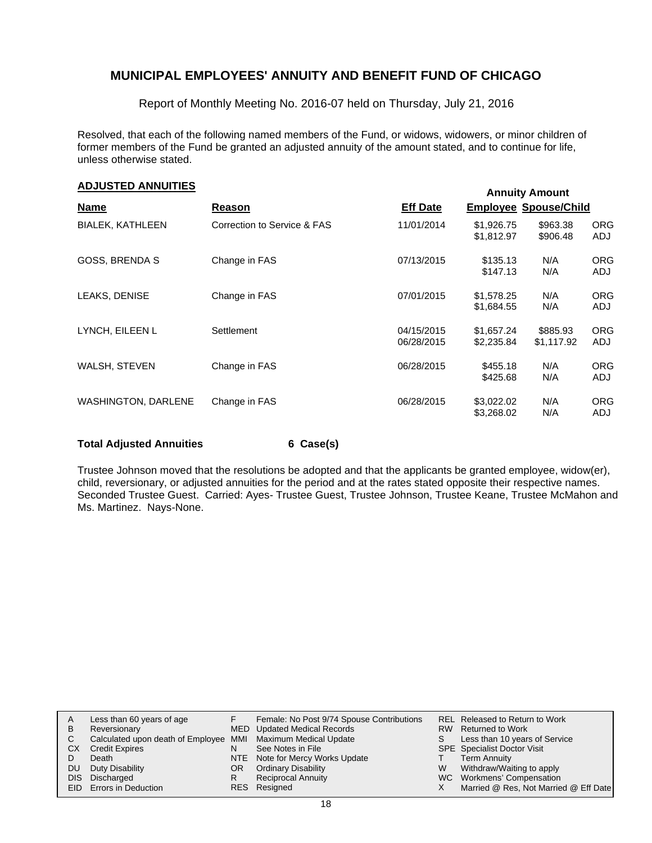Report of Monthly Meeting No. 2016-07 held on Thursday, July 21, 2016

Resolved, that each of the following named members of the Fund, or widows, widowers, or minor children of former members of the Fund be granted an adjusted annuity of the amount stated, and to continue for life, unless otherwise stated.

### **Annuity Amount ADJUSTED ANNUITIES**

|                            |                             |                          |                              | ARRIVILY ARRIVANT      |                   |
|----------------------------|-----------------------------|--------------------------|------------------------------|------------------------|-------------------|
| <b>Name</b>                | Reason                      | <b>Eff Date</b>          | <b>Employee Spouse/Child</b> |                        |                   |
| <b>BIALEK, KATHLEEN</b>    | Correction to Service & FAS | 11/01/2014               | \$1,926.75<br>\$1,812.97     | \$963.38<br>\$906.48   | <b>ORG</b><br>ADJ |
| <b>GOSS, BRENDA S</b>      | Change in FAS               | 07/13/2015               | \$135.13<br>\$147.13         | N/A<br>N/A             | <b>ORG</b><br>ADJ |
| LEAKS, DENISE              | Change in FAS               | 07/01/2015               | \$1,578.25<br>\$1,684.55     | N/A<br>N/A             | <b>ORG</b><br>ADJ |
| LYNCH, EILEEN L            | Settlement                  | 04/15/2015<br>06/28/2015 | \$1,657.24<br>\$2,235.84     | \$885.93<br>\$1,117.92 | <b>ORG</b><br>ADJ |
| WALSH, STEVEN              | Change in FAS               | 06/28/2015               | \$455.18<br>\$425.68         | N/A<br>N/A             | <b>ORG</b><br>ADJ |
| <b>WASHINGTON, DARLENE</b> | Change in FAS               | 06/28/2015               | \$3,022.02<br>\$3,268.02     | N/A<br>N/A             | <b>ORG</b><br>ADJ |

#### **Total Adjusted Annuities 6 Case(s)**

Trustee Johnson moved that the resolutions be adopted and that the applicants be granted employee, widow(er), child, reversionary, or adjusted annuities for the period and at the rates stated opposite their respective names. Seconded Trustee Guest. Carried: Ayes- Trustee Guest, Trustee Johnson, Trustee Keane, Trustee McMahon and Ms. Martinez. Nays-None.

| A   | Less than 60 years of age                                    |     | Female: No Post 9/74 Spouse Contributions |    | REL Released to Return to Work        |
|-----|--------------------------------------------------------------|-----|-------------------------------------------|----|---------------------------------------|
| В   | Reversionary                                                 |     | MED Updated Medical Records               |    | RW Returned to Work                   |
|     | Calculated upon death of Employee MMI Maximum Medical Update |     |                                           | S. | Less than 10 years of Service         |
| CХ  | <b>Credit Expires</b>                                        | N   | See Notes in File                         |    | <b>SPE</b> Specialist Doctor Visit    |
|     | Death                                                        |     | NTE Note for Mercy Works Update           |    | <b>Term Annuity</b>                   |
| DU. | Duty Disability                                              | OR. | <b>Ordinary Disability</b>                | W  | Withdraw/Waiting to apply             |
|     | DIS Discharged                                               |     | <b>Reciprocal Annuity</b>                 |    | WC Workmens' Compensation             |
|     | <b>EID</b> Errors in Deduction                               |     | RES Resigned                              |    | Married @ Res, Not Married @ Eff Date |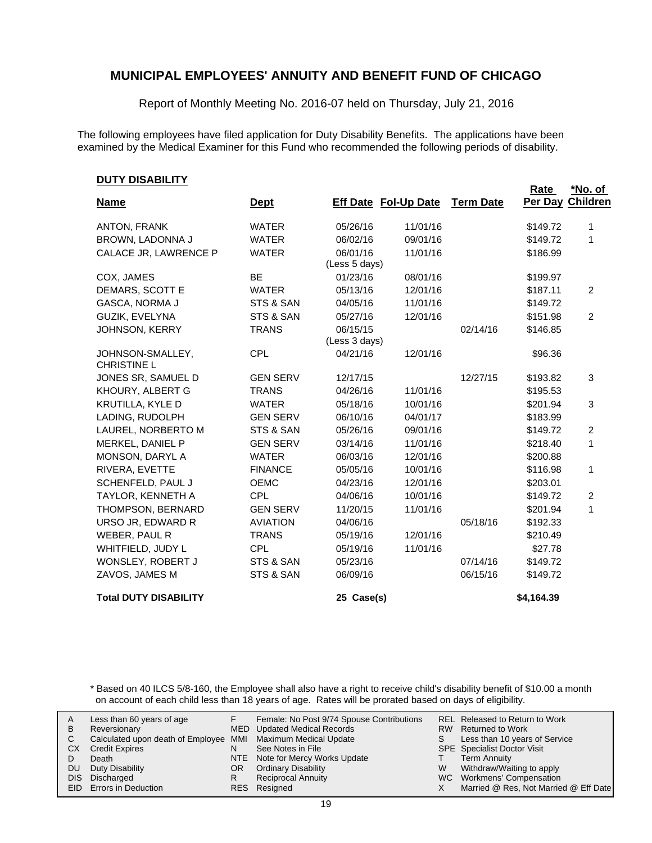Report of Monthly Meeting No. 2016-07 held on Thursday, July 21, 2016

The following employees have filed application for Duty Disability Benefits. The applications have been examined by the Medical Examiner for this Fund who recommended the following periods of disability.

| <u> FULLADILI I I</u>                  |                 |                             |          |                  | <b>Rate</b> | <u>*No. of</u>  |
|----------------------------------------|-----------------|-----------------------------|----------|------------------|-------------|-----------------|
| <b>Name</b>                            | <b>Dept</b>     | <b>Eff Date Fol-Up Date</b> |          | <b>Term Date</b> | Per Day     | <b>Children</b> |
| ANTON, FRANK                           | <b>WATER</b>    | 05/26/16                    | 11/01/16 |                  | \$149.72    | 1               |
| BROWN, LADONNA J                       | <b>WATER</b>    | 06/02/16                    | 09/01/16 |                  | \$149.72    | 1               |
| CALACE JR, LAWRENCE P                  | <b>WATER</b>    | 06/01/16                    | 11/01/16 |                  | \$186.99    |                 |
|                                        |                 | (Less 5 days)               |          |                  |             |                 |
| COX, JAMES                             | <b>BE</b>       | 01/23/16                    | 08/01/16 |                  | \$199.97    |                 |
| DEMARS, SCOTT E                        | <b>WATER</b>    | 05/13/16                    | 12/01/16 |                  | \$187.11    | 2               |
| GASCA, NORMA J                         | STS & SAN       | 04/05/16                    | 11/01/16 |                  | \$149.72    |                 |
| GUZIK, EVELYNA                         | STS & SAN       | 05/27/16                    | 12/01/16 |                  | \$151.98    | $\overline{2}$  |
| <b>JOHNSON, KERRY</b>                  | <b>TRANS</b>    | 06/15/15                    |          | 02/14/16         | \$146.85    |                 |
|                                        |                 | (Less 3 days)               |          |                  |             |                 |
| JOHNSON-SMALLEY,<br><b>CHRISTINE L</b> | <b>CPL</b>      | 04/21/16                    | 12/01/16 |                  | \$96.36     |                 |
| JONES SR, SAMUEL D                     | <b>GEN SERV</b> | 12/17/15                    |          | 12/27/15         | \$193.82    | 3               |
| KHOURY, ALBERT G                       | <b>TRANS</b>    | 04/26/16                    | 11/01/16 |                  | \$195.53    |                 |
| KRUTILLA, KYLE D                       | <b>WATER</b>    | 05/18/16                    | 10/01/16 |                  | \$201.94    | 3               |
| LADING, RUDOLPH                        | <b>GEN SERV</b> | 06/10/16                    | 04/01/17 |                  | \$183.99    |                 |
| LAUREL, NORBERTO M                     | STS & SAN       | 05/26/16                    | 09/01/16 |                  | \$149.72    | 2               |
| MERKEL, DANIEL P                       | <b>GEN SERV</b> | 03/14/16                    | 11/01/16 |                  | \$218.40    | 1               |
| MONSON, DARYL A                        | <b>WATER</b>    | 06/03/16                    | 12/01/16 |                  | \$200.88    |                 |
| RIVERA, EVETTE                         | <b>FINANCE</b>  | 05/05/16                    | 10/01/16 |                  | \$116.98    | 1               |
| SCHENFELD, PAUL J                      | <b>OEMC</b>     | 04/23/16                    | 12/01/16 |                  | \$203.01    |                 |
| TAYLOR, KENNETH A                      | <b>CPL</b>      | 04/06/16                    | 10/01/16 |                  | \$149.72    | 2               |
| THOMPSON, BERNARD                      | <b>GEN SERV</b> | 11/20/15                    | 11/01/16 |                  | \$201.94    | 1               |
| URSO JR, EDWARD R                      | <b>AVIATION</b> | 04/06/16                    |          | 05/18/16         | \$192.33    |                 |
| WEBER, PAUL R                          | <b>TRANS</b>    | 05/19/16                    | 12/01/16 |                  | \$210.49    |                 |
| WHITFIELD, JUDY L                      | <b>CPL</b>      | 05/19/16                    | 11/01/16 |                  | \$27.78     |                 |
| WONSLEY, ROBERT J                      | STS & SAN       | 05/23/16                    |          | 07/14/16         | \$149.72    |                 |
| ZAVOS, JAMES M                         | STS & SAN       | 06/09/16                    |          | 06/15/16         | \$149.72    |                 |
| <b>Total DUTY DISABILITY</b>           |                 | 25 Case(s)                  |          |                  | \$4,164.39  |                 |

\* Based on 40 ILCS 5/8-160, the Employee shall also have a right to receive child's disability benefit of \$10.00 a month on account of each child less than 18 years of age. Rates will be prorated based on days of eligibility.

| A<br>В<br>CХ<br>DU | Less than 60 years of age<br>Reversionary<br>Calculated upon death of Employee MMI Maximum Medical Update<br><b>Credit Expires</b><br>Death<br>Duty Disability<br>DIS Discharged<br>EID Errors in Deduction | N<br>OR<br>R | Female: No Post 9/74 Spouse Contributions<br>MED Updated Medical Records<br>See Notes in File<br>NTE Note for Mercy Works Update<br><b>Ordinary Disability</b><br><b>Reciprocal Annuity</b><br>RES Resigned | W | REL Released to Return to Work<br>RW Returned to Work<br>Less than 10 years of Service<br><b>SPE</b> Specialist Doctor Visit<br>Term Annuity<br>Withdraw/Waiting to apply<br>WC Workmens' Compensation<br>Married @ Res, Not Married @ Eff Date |
|--------------------|-------------------------------------------------------------------------------------------------------------------------------------------------------------------------------------------------------------|--------------|-------------------------------------------------------------------------------------------------------------------------------------------------------------------------------------------------------------|---|-------------------------------------------------------------------------------------------------------------------------------------------------------------------------------------------------------------------------------------------------|
|--------------------|-------------------------------------------------------------------------------------------------------------------------------------------------------------------------------------------------------------|--------------|-------------------------------------------------------------------------------------------------------------------------------------------------------------------------------------------------------------|---|-------------------------------------------------------------------------------------------------------------------------------------------------------------------------------------------------------------------------------------------------|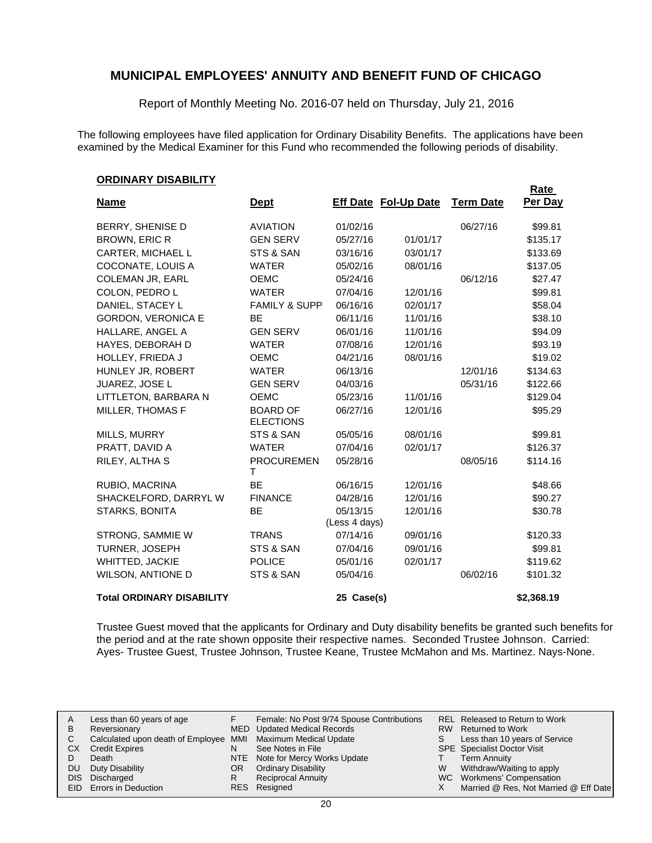Report of Monthly Meeting No. 2016-07 held on Thursday, July 21, 2016

The following employees have filed application for Ordinary Disability Benefits. The applications have been examined by the Medical Examiner for this Fund who recommended the following periods of disability.

**Rate** 

#### **ORDINARY DISABILITY**

| <u>Name</u>                      | <u>Dept</u>                         |                           | <b>Eff Date Fol-Up Date</b> | <b>Term Date</b> | <u>naie</u><br>Per Day |
|----------------------------------|-------------------------------------|---------------------------|-----------------------------|------------------|------------------------|
| BERRY, SHENISE D                 | <b>AVIATION</b>                     | 01/02/16                  |                             | 06/27/16         | \$99.81                |
| <b>BROWN, ERIC R</b>             | <b>GEN SERV</b>                     | 05/27/16                  | 01/01/17                    |                  | \$135.17               |
| CARTER, MICHAEL L                | STS & SAN                           | 03/16/16                  | 03/01/17                    |                  | \$133.69               |
| COCONATE, LOUIS A                | <b>WATER</b>                        | 05/02/16                  | 08/01/16                    |                  | \$137.05               |
| <b>COLEMAN JR, EARL</b>          | <b>OEMC</b>                         | 05/24/16                  |                             | 06/12/16         | \$27.47                |
| COLON, PEDRO L                   | <b>WATER</b>                        | 07/04/16                  | 12/01/16                    |                  | \$99.81                |
| DANIEL, STACEY L                 | <b>FAMILY &amp; SUPP</b>            | 06/16/16                  | 02/01/17                    |                  | \$58.04                |
| <b>GORDON, VERONICA E</b>        | BE                                  | 06/11/16                  | 11/01/16                    |                  | \$38.10                |
| HALLARE, ANGEL A                 | <b>GEN SERV</b>                     | 06/01/16                  | 11/01/16                    |                  | \$94.09                |
| <b>HAYES, DEBORAH D</b>          | <b>WATER</b>                        | 07/08/16                  | 12/01/16                    |                  | \$93.19                |
| HOLLEY, FRIEDA J                 | <b>OEMC</b>                         | 04/21/16                  | 08/01/16                    |                  | \$19.02                |
| HUNLEY JR, ROBERT                | <b>WATER</b>                        | 06/13/16                  |                             | 12/01/16         | \$134.63               |
| JUAREZ, JOSE L                   | <b>GEN SERV</b>                     | 04/03/16                  |                             | 05/31/16         | \$122.66               |
| LITTLETON, BARBARA N             | <b>OEMC</b>                         | 05/23/16                  | 11/01/16                    |                  | \$129.04               |
| MILLER, THOMAS F                 | <b>BOARD OF</b><br><b>ELECTIONS</b> | 06/27/16                  | 12/01/16                    |                  | \$95.29                |
| <b>MILLS, MURRY</b>              | STS & SAN                           | 05/05/16                  | 08/01/16                    |                  | \$99.81                |
| PRATT, DAVID A                   | <b>WATER</b>                        | 07/04/16                  | 02/01/17                    |                  | \$126.37               |
| RILEY, ALTHA S                   | <b>PROCUREMEN</b><br>T.             | 05/28/16                  |                             | 08/05/16         | \$114.16               |
| RUBIO, MACRINA                   | <b>BE</b>                           | 06/16/15                  | 12/01/16                    |                  | \$48.66                |
| SHACKELFORD, DARRYL W            | <b>FINANCE</b>                      | 04/28/16                  | 12/01/16                    |                  | \$90.27                |
| STARKS, BONITA                   | <b>BE</b>                           | 05/13/15<br>(Less 4 days) | 12/01/16                    |                  | \$30.78                |
| STRONG, SAMMIE W                 | <b>TRANS</b>                        | 07/14/16                  | 09/01/16                    |                  | \$120.33               |
| TURNER, JOSEPH                   | STS & SAN                           | 07/04/16                  | 09/01/16                    |                  | \$99.81                |
| <b>WHITTED, JACKIE</b>           | <b>POLICE</b>                       | 05/01/16                  | 02/01/17                    |                  | \$119.62               |
| <b>WILSON, ANTIONE D</b>         | STS & SAN                           | 05/04/16                  |                             | 06/02/16         | \$101.32               |
| <b>Total ORDINARY DISABILITY</b> |                                     | 25 Case(s)                |                             |                  | \$2,368.19             |

Trustee Guest moved that the applicants for Ordinary and Duty disability benefits be granted such benefits for the period and at the rate shown opposite their respective names. Seconded Trustee Johnson. Carried: Ayes- Trustee Guest, Trustee Johnson, Trustee Keane, Trustee McMahon and Ms. Martinez. Nays-None.

| Α         | Less than 60 years of age                                    |    | Female: No Post 9/74 Spouse Contributions |   | REL Released to Return to Work        |
|-----------|--------------------------------------------------------------|----|-------------------------------------------|---|---------------------------------------|
| B         | Reversionary                                                 |    | MED Updated Medical Records               |   | RW Returned to Work                   |
|           | Calculated upon death of Employee MMI Maximum Medical Update |    |                                           | S | Less than 10 years of Service         |
| CХ        | <b>Credit Expires</b>                                        | N  | See Notes in File                         |   | <b>SPE</b> Specialist Doctor Visit    |
|           | Death                                                        |    | NTE Note for Mercy Works Update           |   | <b>Term Annuity</b>                   |
| <b>DU</b> | Duty Disability                                              | OR | <b>Ordinary Disability</b>                | W | Withdraw/Waiting to apply             |
|           | DIS Discharged                                               | R  | <b>Reciprocal Annuity</b>                 |   | WC Workmens' Compensation             |
|           | <b>EID</b> Errors in Deduction                               |    | RES Resigned                              |   | Married @ Res, Not Married @ Eff Date |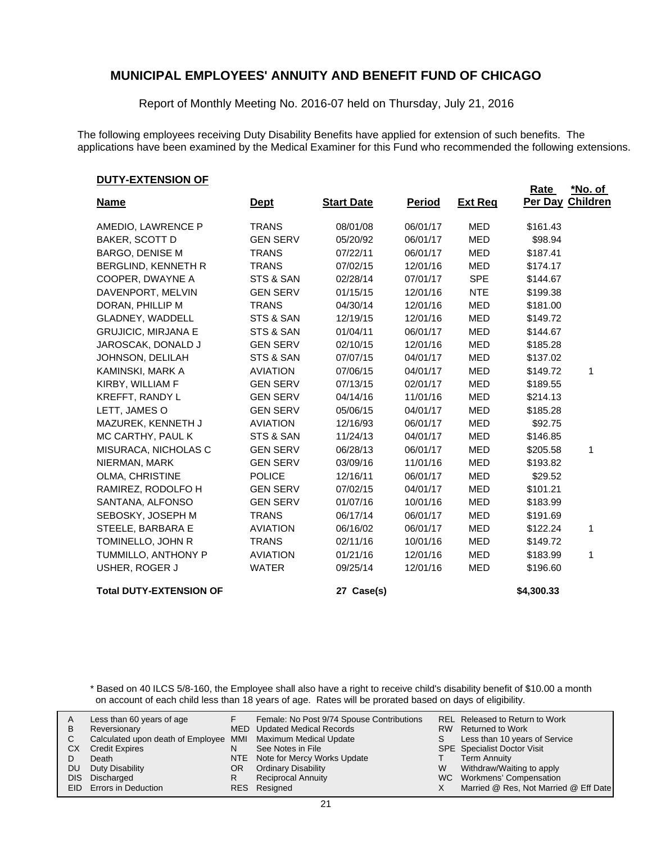Report of Monthly Meeting No. 2016-07 held on Thursday, July 21, 2016

The following employees receiving Duty Disability Benefits have applied for extension of such benefits. The applications have been examined by the Medical Examiner for this Fund who recommended the following extensions.

#### **DUTY-EXTENSION OF**

|                                |                 |                   |               |                | Rate       | *No. of          |
|--------------------------------|-----------------|-------------------|---------------|----------------|------------|------------------|
| <b>Name</b>                    | <u>Dept</u>     | <b>Start Date</b> | <b>Period</b> | <b>Ext Reg</b> |            | Per Day Children |
| AMEDIO, LAWRENCE P             | <b>TRANS</b>    | 08/01/08          | 06/01/17      | <b>MED</b>     | \$161.43   |                  |
| <b>BAKER, SCOTT D</b>          | <b>GEN SERV</b> | 05/20/92          | 06/01/17      | <b>MED</b>     | \$98.94    |                  |
| <b>BARGO, DENISE M</b>         | <b>TRANS</b>    | 07/22/11          | 06/01/17      | <b>MED</b>     | \$187.41   |                  |
| BERGLIND, KENNETH R            | <b>TRANS</b>    | 07/02/15          | 12/01/16      | <b>MED</b>     | \$174.17   |                  |
| COOPER, DWAYNE A               | STS & SAN       | 02/28/14          | 07/01/17      | <b>SPE</b>     | \$144.67   |                  |
| DAVENPORT, MELVIN              | <b>GEN SERV</b> | 01/15/15          | 12/01/16      | <b>NTE</b>     | \$199.38   |                  |
| DORAN, PHILLIP M               | <b>TRANS</b>    | 04/30/14          | 12/01/16      | <b>MED</b>     | \$181.00   |                  |
| GLADNEY, WADDELL               | STS & SAN       | 12/19/15          | 12/01/16      | <b>MED</b>     | \$149.72   |                  |
| <b>GRUJICIC, MIRJANA E</b>     | STS & SAN       | 01/04/11          | 06/01/17      | <b>MED</b>     | \$144.67   |                  |
| JAROSCAK, DONALD J             | <b>GEN SERV</b> | 02/10/15          | 12/01/16      | <b>MED</b>     | \$185.28   |                  |
| JOHNSON, DELILAH               | STS & SAN       | 07/07/15          | 04/01/17      | <b>MED</b>     | \$137.02   |                  |
| KAMINSKI, MARK A               | <b>AVIATION</b> | 07/06/15          | 04/01/17      | MED            | \$149.72   | 1                |
| KIRBY, WILLIAM F               | <b>GEN SERV</b> | 07/13/15          | 02/01/17      | <b>MED</b>     | \$189.55   |                  |
| <b>KREFFT, RANDY L</b>         | <b>GEN SERV</b> | 04/14/16          | 11/01/16      | <b>MED</b>     | \$214.13   |                  |
| LETT, JAMES O                  | <b>GEN SERV</b> | 05/06/15          | 04/01/17      | <b>MED</b>     | \$185.28   |                  |
| MAZUREK, KENNETH J             | <b>AVIATION</b> | 12/16/93          | 06/01/17      | <b>MED</b>     | \$92.75    |                  |
| MC CARTHY, PAUL K              | STS & SAN       | 11/24/13          | 04/01/17      | <b>MED</b>     | \$146.85   |                  |
| MISURACA, NICHOLAS C           | <b>GEN SERV</b> | 06/28/13          | 06/01/17      | <b>MED</b>     | \$205.58   | 1                |
| NIERMAN, MARK                  | <b>GEN SERV</b> | 03/09/16          | 11/01/16      | <b>MED</b>     | \$193.82   |                  |
| OLMA, CHRISTINE                | <b>POLICE</b>   | 12/16/11          | 06/01/17      | MED            | \$29.52    |                  |
| RAMIREZ, RODOLFO H             | <b>GEN SERV</b> | 07/02/15          | 04/01/17      | <b>MED</b>     | \$101.21   |                  |
| SANTANA, ALFONSO               | <b>GEN SERV</b> | 01/07/16          | 10/01/16      | <b>MED</b>     | \$183.99   |                  |
| SEBOSKY, JOSEPH M              | <b>TRANS</b>    | 06/17/14          | 06/01/17      | <b>MED</b>     | \$191.69   |                  |
| STEELE, BARBARA E              | <b>AVIATION</b> | 06/16/02          | 06/01/17      | <b>MED</b>     | \$122.24   | 1                |
| TOMINELLO, JOHN R              | <b>TRANS</b>    | 02/11/16          | 10/01/16      | MED            | \$149.72   |                  |
| TUMMILLO, ANTHONY P            | <b>AVIATION</b> | 01/21/16          | 12/01/16      | MED            | \$183.99   | 1                |
| USHER, ROGER J                 | <b>WATER</b>    | 09/25/14          | 12/01/16      | <b>MED</b>     | \$196.60   |                  |
| <b>Total DUTY-EXTENSION OF</b> |                 | 27 Case(s)        |               |                | \$4,300.33 |                  |

\* Based on 40 ILCS 5/8-160, the Employee shall also have a right to receive child's disability benefit of \$10.00 a month on account of each child less than 18 years of age. Rates will be prorated based on days of eligibility.

| В<br>СX<br>DU | Less than 60 years of age<br>Reversionary<br>Calculated upon death of Employee MMI Maximum Medical Update<br><b>Credit Expires</b><br>Death<br>Duty Disability<br>DIS Discharged<br><b>EID</b> Errors in Deduction | N<br>OR<br>R | Female: No Post 9/74 Spouse Contributions<br>MED Updated Medical Records<br>See Notes in File<br>NTE Note for Mercy Works Update<br><b>Ordinary Disability</b><br><b>Reciprocal Annuity</b><br>RES Resigned | W | REL Released to Return to Work<br>RW Returned to Work<br>Less than 10 years of Service<br><b>SPE</b> Specialist Doctor Visit<br>Term Annuity<br>Withdraw/Waiting to apply<br>WC Workmens' Compensation<br>Married @ Res, Not Married @ Eff Date |
|---------------|--------------------------------------------------------------------------------------------------------------------------------------------------------------------------------------------------------------------|--------------|-------------------------------------------------------------------------------------------------------------------------------------------------------------------------------------------------------------|---|-------------------------------------------------------------------------------------------------------------------------------------------------------------------------------------------------------------------------------------------------|
|---------------|--------------------------------------------------------------------------------------------------------------------------------------------------------------------------------------------------------------------|--------------|-------------------------------------------------------------------------------------------------------------------------------------------------------------------------------------------------------------|---|-------------------------------------------------------------------------------------------------------------------------------------------------------------------------------------------------------------------------------------------------|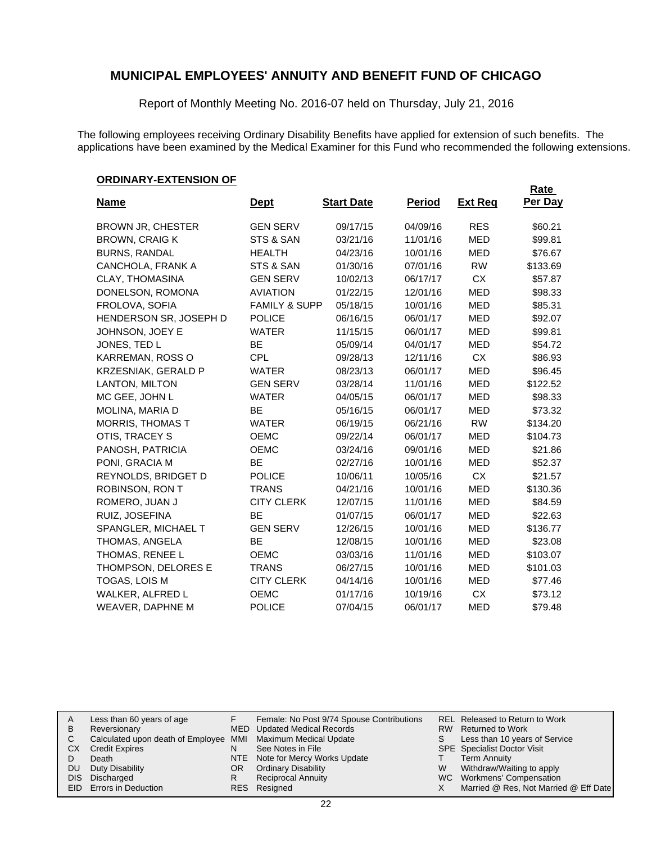Report of Monthly Meeting No. 2016-07 held on Thursday, July 21, 2016

The following employees receiving Ordinary Disability Benefits have applied for extension of such benefits. The applications have been examined by the Medical Examiner for this Fund who recommended the following extensions.

#### **ORDINARY-EXTENSION OF**

|                            |                          |                   |               |                | <b>Rate</b> |
|----------------------------|--------------------------|-------------------|---------------|----------------|-------------|
| <u>Name</u>                | <u>Dept</u>              | <b>Start Date</b> | <b>Period</b> | <b>Ext Reg</b> | Per Day     |
| <b>BROWN JR, CHESTER</b>   | <b>GEN SERV</b>          | 09/17/15          | 04/09/16      | <b>RES</b>     | \$60.21     |
| <b>BROWN, CRAIG K</b>      | STS & SAN                | 03/21/16          | 11/01/16      | <b>MED</b>     | \$99.81     |
| <b>BURNS, RANDAL</b>       | <b>HEALTH</b>            | 04/23/16          | 10/01/16      | MED            | \$76.67     |
| CANCHOLA, FRANK A          | STS & SAN                | 01/30/16          | 07/01/16      | <b>RW</b>      | \$133.69    |
| CLAY, THOMASINA            | <b>GEN SERV</b>          | 10/02/13          | 06/17/17      | <b>CX</b>      | \$57.87     |
| DONELSON, ROMONA           | <b>AVIATION</b>          | 01/22/15          | 12/01/16      | <b>MED</b>     | \$98.33     |
| FROLOVA, SOFIA             | <b>FAMILY &amp; SUPP</b> | 05/18/15          | 10/01/16      | <b>MED</b>     | \$85.31     |
| HENDERSON SR, JOSEPH D     | <b>POLICE</b>            | 06/16/15          | 06/01/17      | <b>MED</b>     | \$92.07     |
| JOHNSON, JOEY E            | <b>WATER</b>             | 11/15/15          | 06/01/17      | <b>MED</b>     | \$99.81     |
| JONES, TED L               | ВE                       | 05/09/14          | 04/01/17      | MED            | \$54.72     |
| KARREMAN, ROSS O           | <b>CPL</b>               | 09/28/13          | 12/11/16      | <b>CX</b>      | \$86.93     |
| <b>KRZESNIAK, GERALD P</b> | <b>WATER</b>             | 08/23/13          | 06/01/17      | <b>MED</b>     | \$96.45     |
| LANTON, MILTON             | <b>GEN SERV</b>          | 03/28/14          | 11/01/16      | <b>MED</b>     | \$122.52    |
| MC GEE, JOHN L             | <b>WATER</b>             | 04/05/15          | 06/01/17      | MED            | \$98.33     |
| MOLINA, MARIA D            | <b>BE</b>                | 05/16/15          | 06/01/17      | <b>MED</b>     | \$73.32     |
| <b>MORRIS, THOMAS T</b>    | <b>WATER</b>             | 06/19/15          | 06/21/16      | <b>RW</b>      | \$134.20    |
| OTIS, TRACEY S             | <b>OEMC</b>              | 09/22/14          | 06/01/17      | <b>MED</b>     | \$104.73    |
| PANOSH, PATRICIA           | <b>OEMC</b>              | 03/24/16          | 09/01/16      | MED            | \$21.86     |
| PONI, GRACIA M             | <b>BE</b>                | 02/27/16          | 10/01/16      | <b>MED</b>     | \$52.37     |
| REYNOLDS, BRIDGET D        | <b>POLICE</b>            | 10/06/11          | 10/05/16      | <b>CX</b>      | \$21.57     |
| ROBINSON, RON T            | <b>TRANS</b>             | 04/21/16          | 10/01/16      | <b>MED</b>     | \$130.36    |
| ROMERO, JUAN J             | <b>CITY CLERK</b>        | 12/07/15          | 11/01/16      | <b>MED</b>     | \$84.59     |
| RUIZ, JOSEFINA             | <b>BE</b>                | 01/07/15          | 06/01/17      | <b>MED</b>     | \$22.63     |
| SPANGLER, MICHAEL T        | <b>GEN SERV</b>          | 12/26/15          | 10/01/16      | <b>MED</b>     | \$136.77    |
| THOMAS, ANGELA             | <b>BE</b>                | 12/08/15          | 10/01/16      | <b>MED</b>     | \$23.08     |
| THOMAS, RENEE L            | <b>OEMC</b>              | 03/03/16          | 11/01/16      | <b>MED</b>     | \$103.07    |
| THOMPSON, DELORES E        | <b>TRANS</b>             | 06/27/15          | 10/01/16      | <b>MED</b>     | \$101.03    |
| TOGAS, LOIS M              | <b>CITY CLERK</b>        | 04/14/16          | 10/01/16      | <b>MED</b>     | \$77.46     |
| WALKER, ALFRED L           | <b>OEMC</b>              | 01/17/16          | 10/19/16      | <b>CX</b>      | \$73.12     |
| <b>WEAVER, DAPHNE M</b>    | <b>POLICE</b>            | 07/04/15          | 06/01/17      | <b>MED</b>     | \$79.48     |

| A<br>B<br>CХ<br>DU. | Less than 60 years of age<br>Reversionary<br>Calculated upon death of Employee MMI Maximum Medical Update<br><b>Credit Expires</b><br>Death<br>Duty Disability<br>DIS Discharged<br>EID Errors in Deduction | N<br>OR.<br>R | Female: No Post 9/74 Spouse Contributions<br>MED Updated Medical Records<br>See Notes in File<br>NTE Note for Mercy Works Update<br><b>Ordinary Disability</b><br><b>Reciprocal Annuity</b><br>RES Resigned | S<br>W | REL Released to Return to Work<br>RW Returned to Work<br>Less than 10 years of Service<br>SPE Specialist Doctor Visit<br><b>Term Annuity</b><br>Withdraw/Waiting to apply<br>WC Workmens' Compensation<br>Married @ Res, Not Married @ Eff Date |
|---------------------|-------------------------------------------------------------------------------------------------------------------------------------------------------------------------------------------------------------|---------------|-------------------------------------------------------------------------------------------------------------------------------------------------------------------------------------------------------------|--------|-------------------------------------------------------------------------------------------------------------------------------------------------------------------------------------------------------------------------------------------------|
|---------------------|-------------------------------------------------------------------------------------------------------------------------------------------------------------------------------------------------------------|---------------|-------------------------------------------------------------------------------------------------------------------------------------------------------------------------------------------------------------|--------|-------------------------------------------------------------------------------------------------------------------------------------------------------------------------------------------------------------------------------------------------|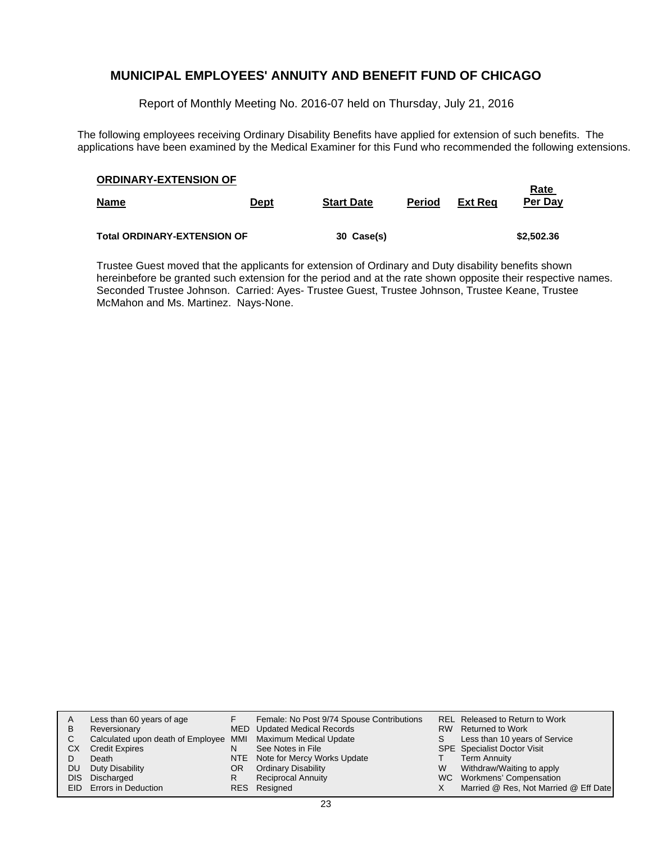Report of Monthly Meeting No. 2016-07 held on Thursday, July 21, 2016

The following employees receiving Ordinary Disability Benefits have applied for extension of such benefits. The applications have been examined by the Medical Examiner for this Fund who recommended the following extensions.

| <b>ORDINARY-EXTENSION OF</b><br><b>Name</b> | <u>Dept</u> | <b>Start Date</b> | <b>Period</b> | Ext Rea | <b>Rate</b><br>Per Day |
|---------------------------------------------|-------------|-------------------|---------------|---------|------------------------|
| <b>Total ORDINARY-EXTENSION OF</b>          |             | 30 Case(s)        |               |         | \$2,502.36             |

Trustee Guest moved that the applicants for extension of Ordinary and Duty disability benefits shown hereinbefore be granted such extension for the period and at the rate shown opposite their respective names. Seconded Trustee Johnson. Carried: Ayes- Trustee Guest, Trustee Johnson, Trustee Keane, Trustee McMahon and Ms. Martinez. Nays-None.

| A         | Less than 60 years of age                                    |    | Female: No Post 9/74 Spouse Contributions |    | REL Released to Return to Work        |
|-----------|--------------------------------------------------------------|----|-------------------------------------------|----|---------------------------------------|
| B         | Reversionary                                                 |    | MED Updated Medical Records               |    | RW Returned to Work                   |
| C.        | Calculated upon death of Employee MMI Maximum Medical Update |    |                                           | S. | Less than 10 years of Service         |
| CХ        | <b>Credit Expires</b>                                        | N  | See Notes in File                         |    | <b>SPE</b> Specialist Doctor Visit    |
|           | Death                                                        |    | NTE Note for Mercy Works Update           |    | <b>Term Annuity</b>                   |
| <b>DU</b> | Duty Disability                                              | OR | <b>Ordinary Disability</b>                | W  | Withdraw/Waiting to apply             |
| DIS.      | Discharged                                                   | R  | <b>Reciprocal Annuity</b>                 |    | WC Workmens' Compensation             |
|           | EID Errors in Deduction                                      |    | RES Resigned                              |    | Married @ Res, Not Married @ Eff Date |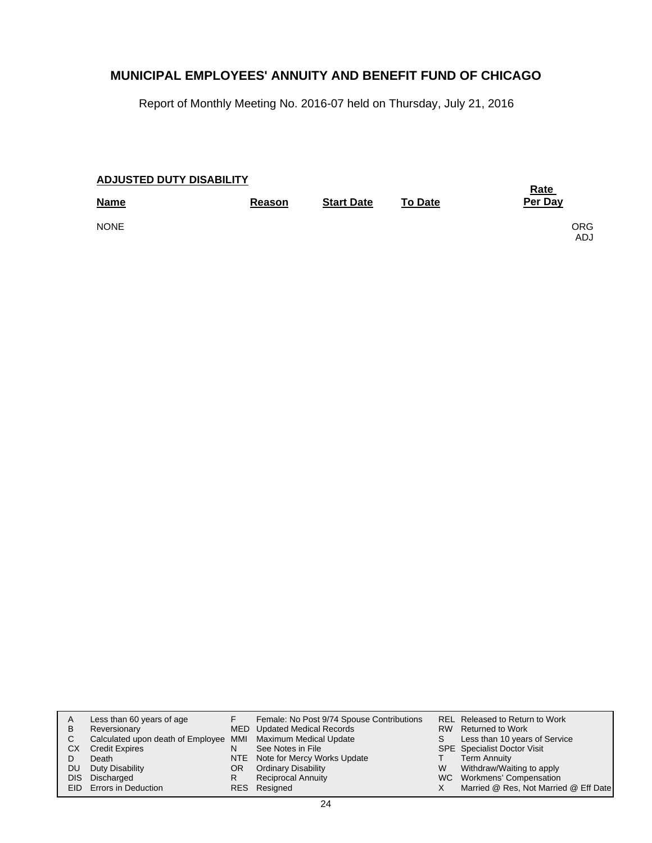Report of Monthly Meeting No. 2016-07 held on Thursday, July 21, 2016

| <b>ADJUSTED DUTY DISABILITY</b> | <b>Rate</b> |                   |                |                   |
|---------------------------------|-------------|-------------------|----------------|-------------------|
| <b>Name</b>                     | Reason      | <b>Start Date</b> | <b>To Date</b> | Per Day           |
| <b>NONE</b>                     |             |                   |                | <b>ORG</b><br>ADJ |

| A<br>B<br>CХ<br>DU. | Less than 60 years of age<br>Reversionary<br>Calculated upon death of Employee MMI Maximum Medical Update<br><b>Credit Expires</b><br>Death<br>Duty Disability | N<br>OR. | Female: No Post 9/74 Spouse Contributions<br>MED Updated Medical Records<br>See Notes in File<br>NTE Note for Mercy Works Update<br><b>Ordinary Disability</b> | S.<br>W | REL Released to Return to Work<br>RW Returned to Work<br>Less than 10 years of Service<br><b>SPE</b> Specialist Doctor Visit<br><b>Term Annuity</b><br>Withdraw/Waiting to apply |
|---------------------|----------------------------------------------------------------------------------------------------------------------------------------------------------------|----------|----------------------------------------------------------------------------------------------------------------------------------------------------------------|---------|----------------------------------------------------------------------------------------------------------------------------------------------------------------------------------|
|                     | DIS Discharged                                                                                                                                                 | R        | <b>Reciprocal Annuity</b>                                                                                                                                      |         | WC Workmens' Compensation                                                                                                                                                        |
|                     | <b>EID</b> Errors in Deduction                                                                                                                                 |          | RES Resigned                                                                                                                                                   |         | Married @ Res, Not Married @ Eff Date                                                                                                                                            |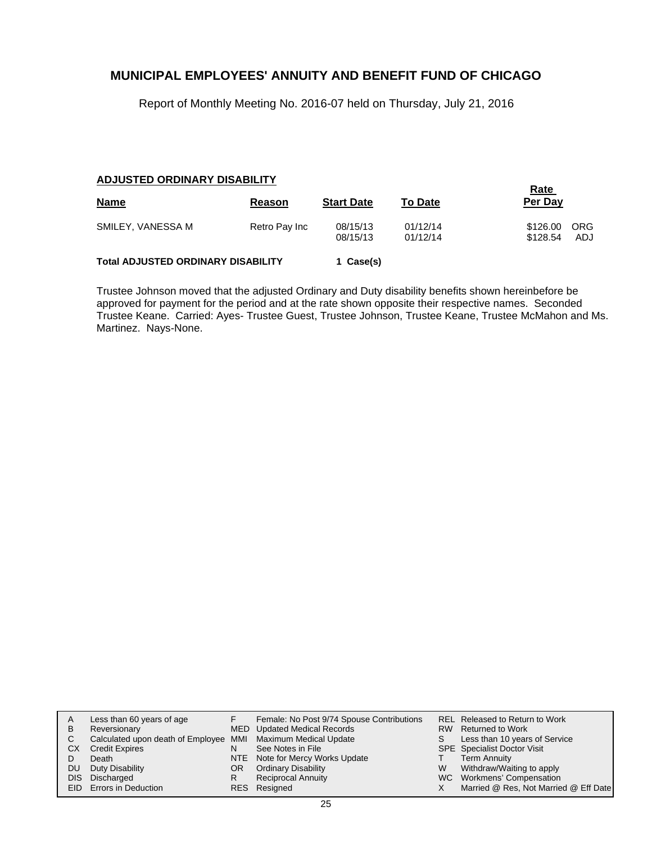Report of Monthly Meeting No. 2016-07 held on Thursday, July 21, 2016

#### **ADJUSTED ORDINARY DISABILITY**

| <b>Name</b>                               | Reason        | <b>Start Date</b>    | <b>To Date</b>       | <b>Rate</b><br>Per Day |                   |
|-------------------------------------------|---------------|----------------------|----------------------|------------------------|-------------------|
| SMILEY, VANESSA M                         | Retro Pay Inc | 08/15/13<br>08/15/13 | 01/12/14<br>01/12/14 | \$126.00<br>\$128.54   | <b>ORG</b><br>ADJ |
| <b>Total ADJUSTED ORDINARY DISABILITY</b> |               | 1 Case(s)            |                      |                        |                   |

Trustee Johnson moved that the adjusted Ordinary and Duty disability benefits shown hereinbefore be approved for payment for the period and at the rate shown opposite their respective names. Seconded Trustee Keane. Carried: Ayes- Trustee Guest, Trustee Johnson, Trustee Keane, Trustee McMahon and Ms. Martinez. Nays-None.

| A  | Less than 60 years of age                                    |    | Female: No Post 9/74 Spouse Contributions |   | REL Released to Return to Work        |
|----|--------------------------------------------------------------|----|-------------------------------------------|---|---------------------------------------|
| В  | Reversionary                                                 |    | <b>MED</b> Updated Medical Records        |   | RW Returned to Work                   |
|    | Calculated upon death of Employee MMI Maximum Medical Update |    |                                           |   | Less than 10 years of Service         |
| СX | <b>Credit Expires</b>                                        | N  | See Notes in File                         |   | <b>SPE</b> Specialist Doctor Visit    |
|    | Death                                                        |    | NTE Note for Mercy Works Update           |   | <b>Term Annuity</b>                   |
| DU | Duty Disability                                              | OR | <b>Ordinary Disability</b>                | W | Withdraw/Waiting to apply             |
|    | DIS Discharged                                               | R  | <b>Reciprocal Annuity</b>                 |   | WC Workmens' Compensation             |
|    | EID Errors in Deduction                                      |    | RES Resigned                              |   | Married @ Res, Not Married @ Eff Date |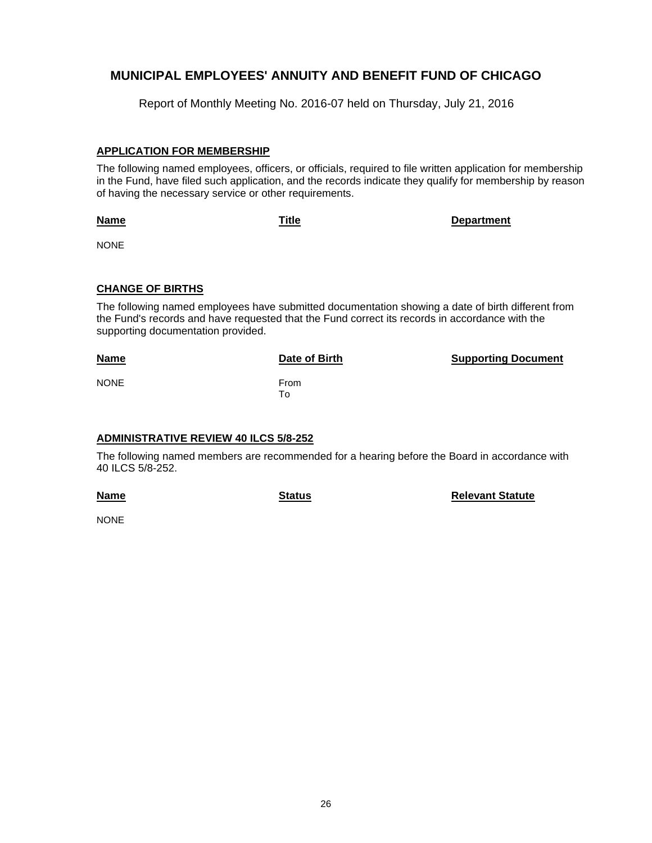Report of Monthly Meeting No. 2016-07 held on Thursday, July 21, 2016

#### **APPLICATION FOR MEMBERSHIP**

The following named employees, officers, or officials, required to file written application for membership in the Fund, have filed such application, and the records indicate they qualify for membership by reason of having the necessary service or other requirements.

**Name**

**Title Department**

NONE

#### **CHANGE OF BIRTHS**

The following named employees have submitted documentation showing a date of birth different from the Fund's records and have requested that the Fund correct its records in accordance with the supporting documentation provided.

| <b>Name</b> | Date of Birth | <b>Supporting Document</b> |
|-------------|---------------|----------------------------|
| <b>NONE</b> | From<br>To    |                            |

#### **ADMINISTRATIVE REVIEW 40 ILCS 5/8-252**

The following named members are recommended for a hearing before the Board in accordance with 40 ILCS 5/8-252.

**Name**

**Status Relevant Statute** 

NONE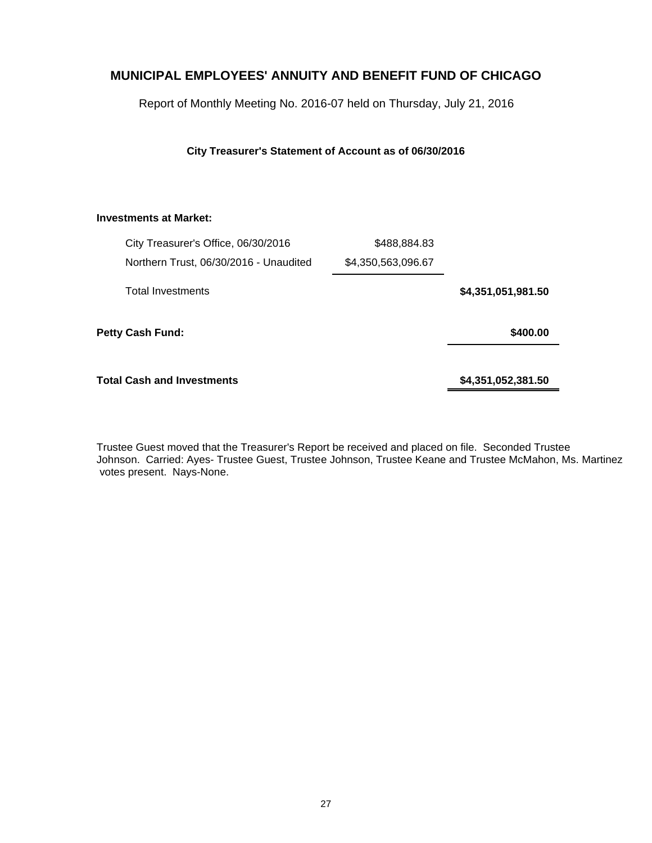Report of Monthly Meeting No. 2016-07 held on Thursday, July 21, 2016

**City Treasurer's Statement of Account as of 06/30/2016**

#### **Investments at Market:**

|                    | \$488,884.83       | City Treasurer's Office, 06/30/2016    |  |
|--------------------|--------------------|----------------------------------------|--|
|                    | \$4,350,563,096.67 | Northern Trust, 06/30/2016 - Unaudited |  |
| \$4,351,051,981.50 |                    | <b>Total Investments</b>               |  |
| \$400.00           |                    | <b>Petty Cash Fund:</b>                |  |
| \$4,351,052,381.50 |                    | Total Cash and Investments             |  |

Trustee Guest moved that the Treasurer's Report be received and placed on file. Seconded Trustee Johnson. Carried: Ayes- Trustee Guest, Trustee Johnson, Trustee Keane and Trustee McMahon, Ms. Martinez votes present. Nays-None.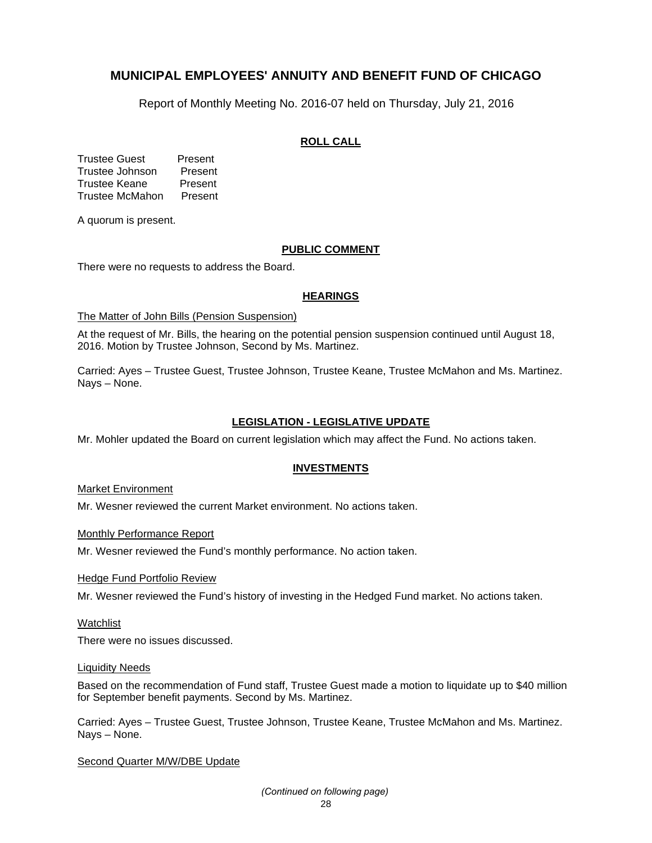Report of Monthly Meeting No. 2016-07 held on Thursday, July 21, 2016

#### **ROLL CALL**

Trustee Guest Present Trustee Johnson Present Trustee Keane Present Trustee McMahon Present

A quorum is present.

#### **PUBLIC COMMENT**

There were no requests to address the Board.

#### **HEARINGS**

#### The Matter of John Bills (Pension Suspension)

At the request of Mr. Bills, the hearing on the potential pension suspension continued until August 18, 2016. Motion by Trustee Johnson, Second by Ms. Martinez.

Carried: Ayes – Trustee Guest, Trustee Johnson, Trustee Keane, Trustee McMahon and Ms. Martinez. Nays – None.

#### **LEGISLATION - LEGISLATIVE UPDATE**

Mr. Mohler updated the Board on current legislation which may affect the Fund. No actions taken.

#### **INVESTMENTS**

Market Environment

Mr. Wesner reviewed the current Market environment. No actions taken.

Monthly Performance Report

Mr. Wesner reviewed the Fund's monthly performance. No action taken.

Hedge Fund Portfolio Review

Mr. Wesner reviewed the Fund's history of investing in the Hedged Fund market. No actions taken.

#### **Watchlist**

There were no issues discussed.

#### Liquidity Needs

Based on the recommendation of Fund staff, Trustee Guest made a motion to liquidate up to \$40 million for September benefit payments. Second by Ms. Martinez.

Carried: Ayes – Trustee Guest, Trustee Johnson, Trustee Keane, Trustee McMahon and Ms. Martinez. Nays – None.

#### Second Quarter M/W/DBE Update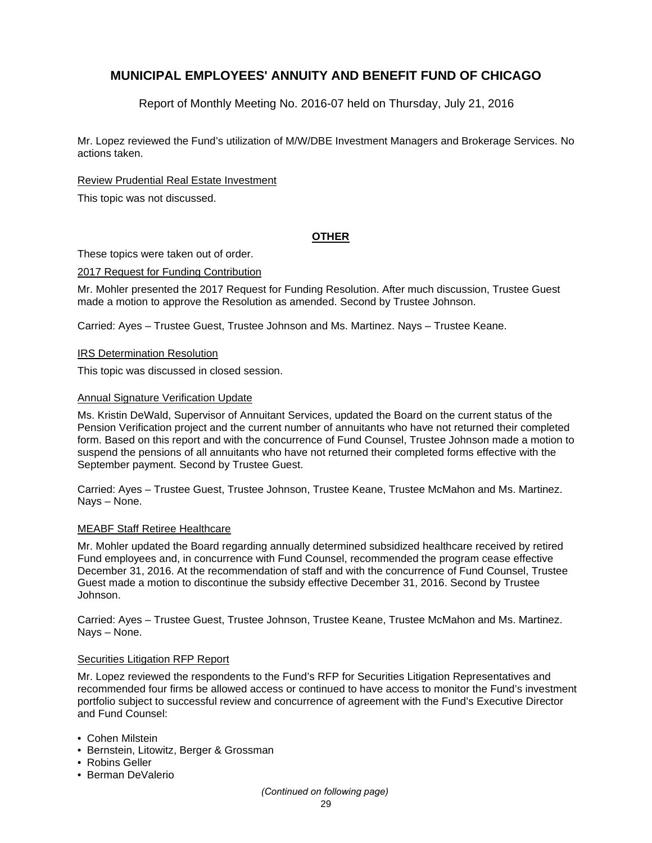Report of Monthly Meeting No. 2016-07 held on Thursday, July 21, 2016

Mr. Lopez reviewed the Fund's utilization of M/W/DBE Investment Managers and Brokerage Services. No actions taken.

#### Review Prudential Real Estate Investment

This topic was not discussed.

#### **OTHER**

These topics were taken out of order.

#### 2017 Request for Funding Contribution

Mr. Mohler presented the 2017 Request for Funding Resolution. After much discussion, Trustee Guest made a motion to approve the Resolution as amended. Second by Trustee Johnson.

Carried: Ayes – Trustee Guest, Trustee Johnson and Ms. Martinez. Nays – Trustee Keane.

#### IRS Determination Resolution

This topic was discussed in closed session.

#### **Annual Signature Verification Update**

Ms. Kristin DeWald, Supervisor of Annuitant Services, updated the Board on the current status of the Pension Verification project and the current number of annuitants who have not returned their completed form. Based on this report and with the concurrence of Fund Counsel, Trustee Johnson made a motion to suspend the pensions of all annuitants who have not returned their completed forms effective with the September payment. Second by Trustee Guest.

Carried: Ayes – Trustee Guest, Trustee Johnson, Trustee Keane, Trustee McMahon and Ms. Martinez. Nays – None.

#### MEABF Staff Retiree Healthcare

Mr. Mohler updated the Board regarding annually determined subsidized healthcare received by retired Fund employees and, in concurrence with Fund Counsel, recommended the program cease effective December 31, 2016. At the recommendation of staff and with the concurrence of Fund Counsel, Trustee Guest made a motion to discontinue the subsidy effective December 31, 2016. Second by Trustee Johnson.

Carried: Ayes – Trustee Guest, Trustee Johnson, Trustee Keane, Trustee McMahon and Ms. Martinez. Nays – None.

#### Securities Litigation RFP Report

Mr. Lopez reviewed the respondents to the Fund's RFP for Securities Litigation Representatives and recommended four firms be allowed access or continued to have access to monitor the Fund's investment portfolio subject to successful review and concurrence of agreement with the Fund's Executive Director and Fund Counsel:

- Cohen Milstein
- Bernstein, Litowitz, Berger & Grossman
- Robins Geller
- Berman DeValerio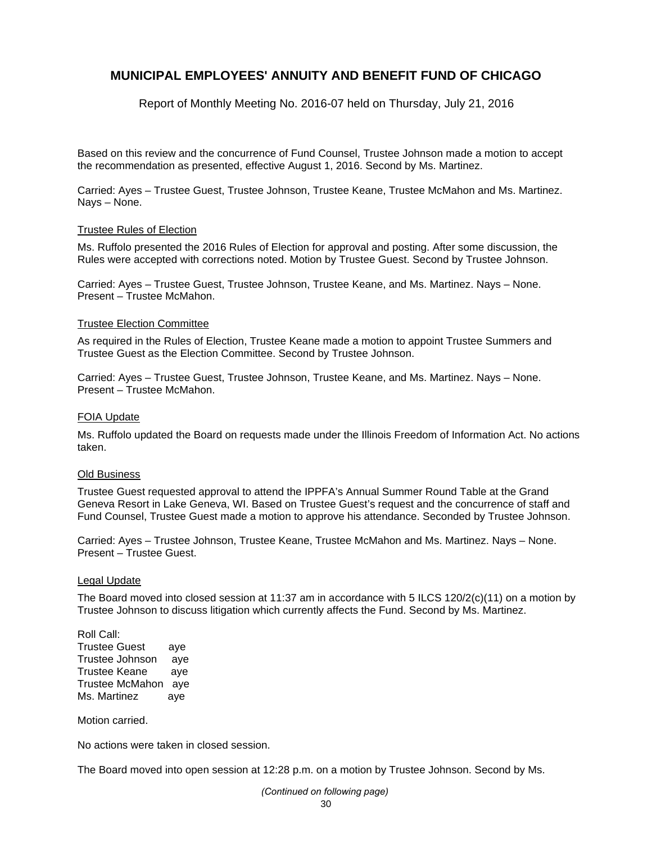Report of Monthly Meeting No. 2016-07 held on Thursday, July 21, 2016

Based on this review and the concurrence of Fund Counsel, Trustee Johnson made a motion to accept the recommendation as presented, effective August 1, 2016. Second by Ms. Martinez.

Carried: Ayes – Trustee Guest, Trustee Johnson, Trustee Keane, Trustee McMahon and Ms. Martinez. Nays – None.

#### Trustee Rules of Election

Ms. Ruffolo presented the 2016 Rules of Election for approval and posting. After some discussion, the Rules were accepted with corrections noted. Motion by Trustee Guest. Second by Trustee Johnson.

Carried: Ayes – Trustee Guest, Trustee Johnson, Trustee Keane, and Ms. Martinez. Nays – None. Present – Trustee McMahon.

#### Trustee Election Committee

As required in the Rules of Election, Trustee Keane made a motion to appoint Trustee Summers and Trustee Guest as the Election Committee. Second by Trustee Johnson.

Carried: Ayes – Trustee Guest, Trustee Johnson, Trustee Keane, and Ms. Martinez. Nays – None. Present – Trustee McMahon.

#### FOIA Update

Ms. Ruffolo updated the Board on requests made under the Illinois Freedom of Information Act. No actions taken.

#### Old Business

Trustee Guest requested approval to attend the IPPFA's Annual Summer Round Table at the Grand Geneva Resort in Lake Geneva, WI. Based on Trustee Guest's request and the concurrence of staff and Fund Counsel, Trustee Guest made a motion to approve his attendance. Seconded by Trustee Johnson.

Carried: Ayes – Trustee Johnson, Trustee Keane, Trustee McMahon and Ms. Martinez. Nays – None. Present – Trustee Guest.

#### Legal Update

The Board moved into closed session at 11:37 am in accordance with 5 ILCS 120/2(c)(11) on a motion by Trustee Johnson to discuss litigation which currently affects the Fund. Second by Ms. Martinez.

Roll Call: Trustee Guest aye Trustee Johnson aye Trustee Keane aye Trustee McMahon aye Ms. Martinez aye

Motion carried.

No actions were taken in closed session.

The Board moved into open session at 12:28 p.m. on a motion by Trustee Johnson. Second by Ms.